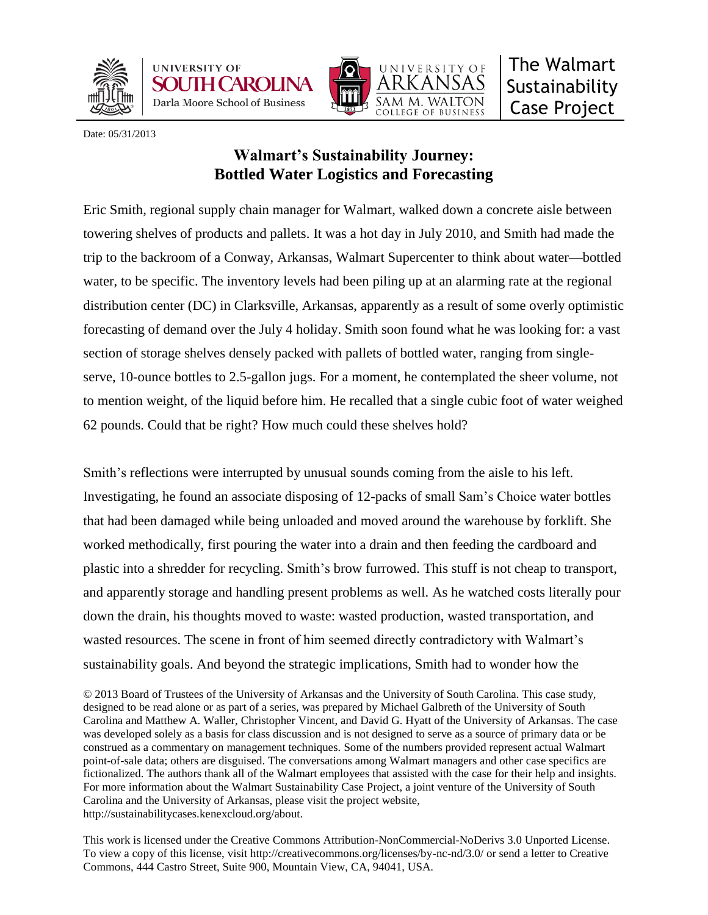





Date: 05/31/2013

# **Walmart's Sustainability Journey: Bottled Water Logistics and Forecasting**

Eric Smith, regional supply chain manager for Walmart, walked down a concrete aisle between towering shelves of products and pallets. It was a hot day in July 2010, and Smith had made the trip to the backroom of a Conway, Arkansas, Walmart Supercenter to think about water—bottled water, to be specific. The inventory levels had been piling up at an alarming rate at the regional distribution center (DC) in Clarksville, Arkansas, apparently as a result of some overly optimistic forecasting of demand over the July 4 holiday. Smith soon found what he was looking for: a vast section of storage shelves densely packed with pallets of bottled water, ranging from singleserve, 10-ounce bottles to 2.5-gallon jugs. For a moment, he contemplated the sheer volume, not to mention weight, of the liquid before him. He recalled that a single cubic foot of water weighed 62 pounds. Could that be right? How much could these shelves hold?

Smith's reflections were interrupted by unusual sounds coming from the aisle to his left. Investigating, he found an associate disposing of 12-packs of small Sam's Choice water bottles that had been damaged while being unloaded and moved around the warehouse by forklift. She worked methodically, first pouring the water into a drain and then feeding the cardboard and plastic into a shredder for recycling. Smith's brow furrowed. This stuff is not cheap to transport, and apparently storage and handling present problems as well. As he watched costs literally pour down the drain, his thoughts moved to waste: wasted production, wasted transportation, and wasted resources. The scene in front of him seemed directly contradictory with Walmart's sustainability goals. And beyond the strategic implications, Smith had to wonder how the

© 2013 Board of Trustees of the University of Arkansas and the University of South Carolina. This case study, designed to be read alone or as part of a series, was prepared by Michael Galbreth of the University of South Carolina and Matthew A. Waller, Christopher Vincent, and David G. Hyatt of the University of Arkansas. The case was developed solely as a basis for class discussion and is not designed to serve as a source of primary data or be construed as a commentary on management techniques. Some of the numbers provided represent actual Walmart point-of-sale data; others are disguised. The conversations among Walmart managers and other case specifics are fictionalized. The authors thank all of the Walmart employees that assisted with the case for their help and insights. For more information about the Walmart Sustainability Case Project, a joint venture of the University of South Carolina and the University of Arkansas, please visit the project website, http://sustainabilitycases.kenexcloud.org/about.

This work is licensed under the Creative Commons Attribution-NonCommercial-NoDerivs 3.0 Unported License. To view a copy of this license, visit http://creativecommons.org/licenses/by-nc-nd/3.0/ or send a letter to Creative Commons, 444 Castro Street, Suite 900, Mountain View, CA, 94041, USA.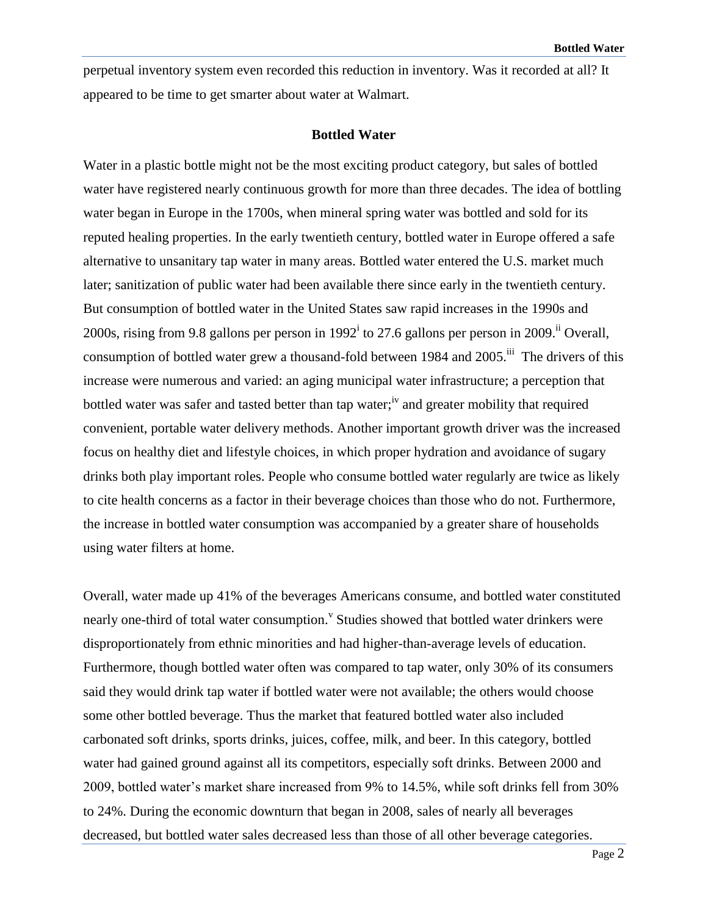perpetual inventory system even recorded this reduction in inventory. Was it recorded at all? It appeared to be time to get smarter about water at Walmart.

## **Bottled Water**

Water in a plastic bottle might not be the most exciting product category, but sales of bottled water have registered nearly continuous growth for more than three decades. The idea of bottling water began in Europe in the 1700s, when mineral spring water was bottled and sold for its reputed healing properties. In the early twentieth century, bottled water in Europe offered a safe alternative to unsanitary tap water in many areas. Bottled water entered the U.S. market much later; sanitization of public water had been available there since early in the twentieth century. But consumption of bottled water in the United States saw rapid increases in the 1990s and 2000s, rising from 9.8 gallons per person in 1992<sup>i</sup> to 27.6 gallons per person in 2009.<sup>ii</sup> Overall, consumption of bottled water grew a thousand-fold between 1984 and 2005.<sup>iii</sup> The drivers of this increase were numerous and varied: an aging municipal water infrastructure; a perception that bottled water was safer and tasted better than tap water;<sup>iv</sup> and greater mobility that required convenient, portable water delivery methods. Another important growth driver was the increased focus on healthy diet and lifestyle choices, in which proper hydration and avoidance of sugary drinks both play important roles. People who consume bottled water regularly are twice as likely to cite health concerns as a factor in their beverage choices than those who do not. Furthermore, the increase in bottled water consumption was accompanied by a greater share of households using water filters at home.

Overall, water made up 41% of the beverages Americans consume, and bottled water constituted nearly one-third of total water consumption.<sup>V</sup> Studies showed that bottled water drinkers were disproportionately from ethnic minorities and had higher-than-average levels of education. Furthermore, though bottled water often was compared to tap water, only 30% of its consumers said they would drink tap water if bottled water were not available; the others would choose some other bottled beverage. Thus the market that featured bottled water also included carbonated soft drinks, sports drinks, juices, coffee, milk, and beer. In this category, bottled water had gained ground against all its competitors, especially soft drinks. Between 2000 and 2009, bottled water's market share increased from 9% to 14.5%, while soft drinks fell from 30% to 24%. During the economic downturn that began in 2008, sales of nearly all beverages decreased, but bottled water sales decreased less than those of all other beverage categories.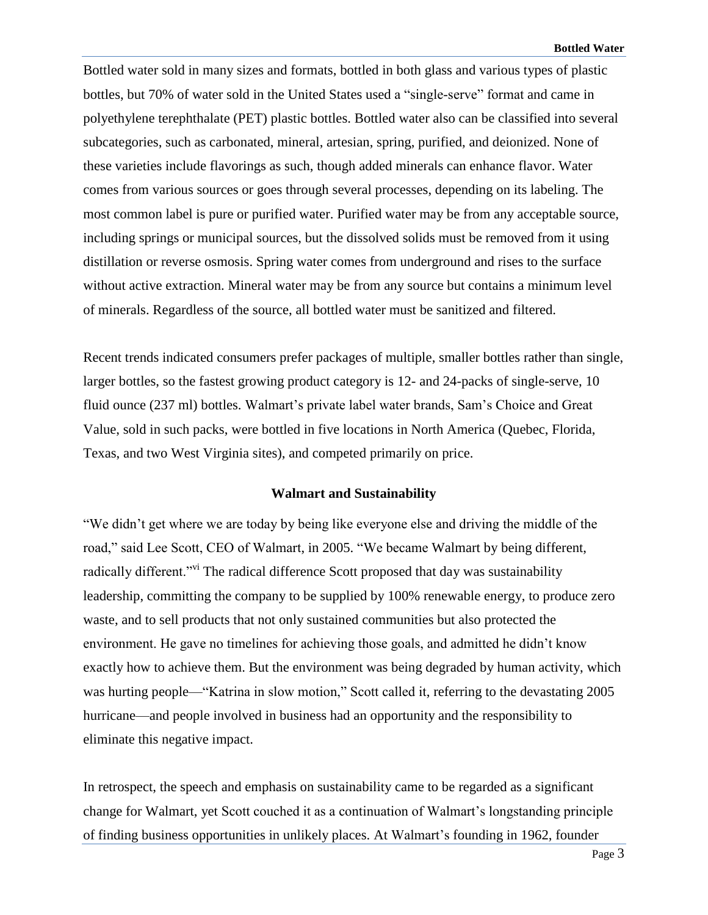Bottled water sold in many sizes and formats, bottled in both glass and various types of plastic bottles, but 70% of water sold in the United States used a "single-serve" format and came in polyethylene terephthalate (PET) plastic bottles. Bottled water also can be classified into several subcategories, such as carbonated, mineral, artesian, spring, purified, and deionized. None of these varieties include flavorings as such, though added minerals can enhance flavor. Water comes from various sources or goes through several processes, depending on its labeling. The most common label is pure or purified water. Purified water may be from any acceptable source, including springs or municipal sources, but the dissolved solids must be removed from it using distillation or reverse osmosis. Spring water comes from underground and rises to the surface without active extraction. Mineral water may be from any source but contains a minimum level of minerals. Regardless of the source, all bottled water must be sanitized and filtered.

Recent trends indicated consumers prefer packages of multiple, smaller bottles rather than single, larger bottles, so the fastest growing product category is 12- and 24-packs of single-serve, 10 fluid ounce (237 ml) bottles. Walmart's private label water brands, Sam's Choice and Great Value, sold in such packs, were bottled in five locations in North America (Quebec, Florida, Texas, and two West Virginia sites), and competed primarily on price.

#### **Walmart and Sustainability**

"We didn't get where we are today by being like everyone else and driving the middle of the road," said Lee Scott, CEO of Walmart, in 2005. "We became Walmart by being different, radically different."<sup>vi</sup> The radical difference Scott proposed that day was sustainability leadership, committing the company to be supplied by 100% renewable energy, to produce zero waste, and to sell products that not only sustained communities but also protected the environment. He gave no timelines for achieving those goals, and admitted he didn't know exactly how to achieve them. But the environment was being degraded by human activity, which was hurting people—"Katrina in slow motion," Scott called it, referring to the devastating 2005 hurricane—and people involved in business had an opportunity and the responsibility to eliminate this negative impact.

In retrospect, the speech and emphasis on sustainability came to be regarded as a significant change for Walmart, yet Scott couched it as a continuation of Walmart's longstanding principle of finding business opportunities in unlikely places. At Walmart's founding in 1962, founder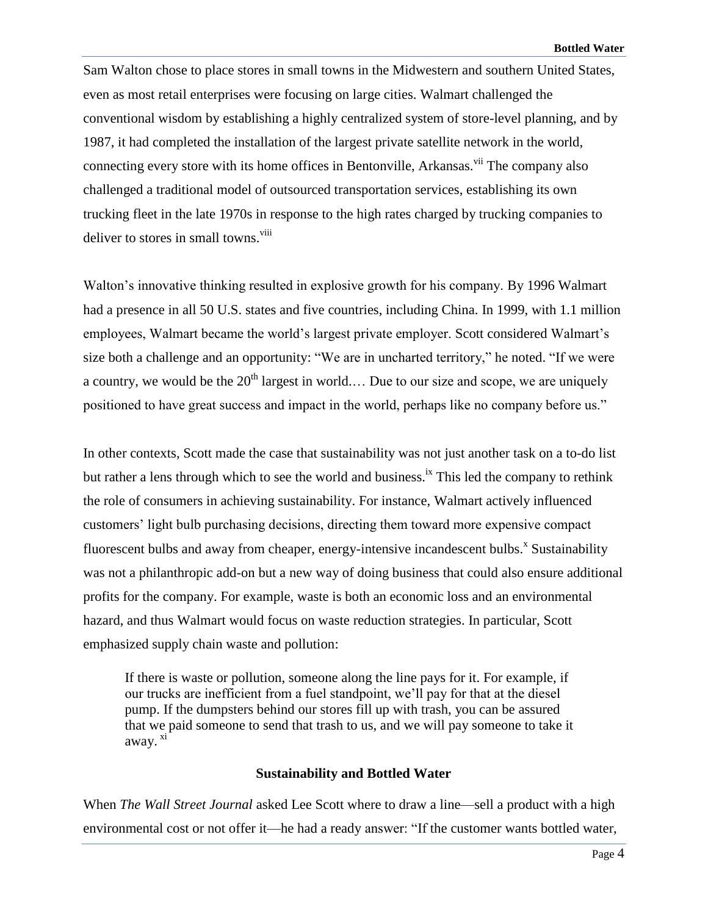Sam Walton chose to place stores in small towns in the Midwestern and southern United States, even as most retail enterprises were focusing on large cities. Walmart challenged the conventional wisdom by establishing a highly centralized system of store-level planning, and by 1987, it had completed the installation of the largest private satellite network in the world, connecting every store with its home offices in Bentonville, Arkansas.<sup>vii</sup> The company also challenged a traditional model of outsourced transportation services, establishing its own trucking fleet in the late 1970s in response to the high rates charged by trucking companies to deliver to stores in small towns.<sup>viii</sup>

Walton's innovative thinking resulted in explosive growth for his company. By 1996 Walmart had a presence in all 50 U.S. states and five countries, including China. In 1999, with 1.1 million employees, Walmart became the world's largest private employer. Scott considered Walmart's size both a challenge and an opportunity: "We are in uncharted territory," he noted. "If we were a country, we would be the  $20<sup>th</sup>$  largest in world.... Due to our size and scope, we are uniquely positioned to have great success and impact in the world, perhaps like no company before us."

In other contexts, Scott made the case that sustainability was not just another task on a to-do list but rather a lens through which to see the world and business.<sup>ix</sup> This led the company to rethink the role of consumers in achieving sustainability. For instance, Walmart actively influenced customers' light bulb purchasing decisions, directing them toward more expensive compact fluorescent bulbs and away from cheaper, energy-intensive incandescent bulbs.<sup>x</sup> Sustainability was not a philanthropic add-on but a new way of doing business that could also ensure additional profits for the company. For example, waste is both an economic loss and an environmental hazard, and thus Walmart would focus on waste reduction strategies. In particular, Scott emphasized supply chain waste and pollution:

If there is waste or pollution, someone along the line pays for it. For example, if our trucks are inefficient from a fuel standpoint, we'll pay for that at the diesel pump. If the dumpsters behind our stores fill up with trash, you can be assured that we paid someone to send that trash to us, and we will pay someone to take it away. <sup>xi</sup>

### **Sustainability and Bottled Water**

When *The Wall Street Journal* asked Lee Scott where to draw a line—sell a product with a high environmental cost or not offer it—he had a ready answer: "If the customer wants bottled water,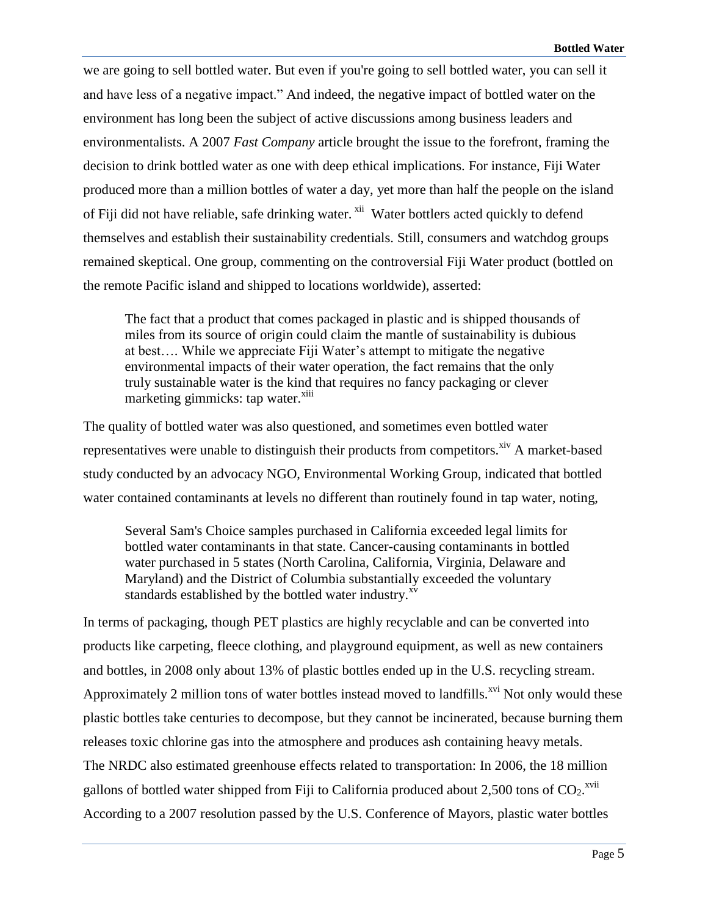we are going to sell bottled water. But even if you're going to sell bottled water, you can sell it and have less of a negative impact." And indeed, the negative impact of bottled water on the environment has long been the subject of active discussions among business leaders and environmentalists. A 2007 *Fast Company* article brought the issue to the forefront, framing the decision to drink bottled water as one with deep ethical implications. For instance, Fiji Water produced more than a million bottles of water a day, yet more than half the people on the island of Fiji did not have reliable, safe drinking water. <sup>xii</sup> Water bottlers acted quickly to defend themselves and establish their sustainability credentials. Still, consumers and watchdog groups remained skeptical. One group, commenting on the controversial Fiji Water product (bottled on the remote Pacific island and shipped to locations worldwide), asserted:

The fact that a product that comes packaged in plastic and is shipped thousands of miles from its source of origin could claim the mantle of sustainability is dubious at best…. While we appreciate Fiji Water's attempt to mitigate the negative environmental impacts of their water operation, the fact remains that the only truly sustainable water is the kind that requires no fancy packaging or clever marketing gimmicks: tap water.<sup>xiii</sup>

The quality of bottled water was also questioned, and sometimes even bottled water representatives were unable to distinguish their products from competitors. $\frac{x}{y}$  A market-based study conducted by an advocacy NGO, Environmental Working Group, indicated that bottled water contained contaminants at levels no different than routinely found in tap water, noting,

Several Sam's Choice samples purchased in California exceeded legal limits for bottled water contaminants in that state. Cancer-causing contaminants in bottled water purchased in 5 states (North Carolina, California, Virginia, Delaware and Maryland) and the District of Columbia substantially exceeded the voluntary standards established by the bottled water industry.<sup>xv</sup>

In terms of packaging, though PET plastics are highly recyclable and can be converted into products like carpeting, fleece clothing, and playground equipment, as well as new containers and bottles, in 2008 only about 13% of plastic bottles ended up in the U.S. recycling stream. Approximately 2 million tons of water bottles instead moved to landfills.<sup>xvi</sup> Not only would these plastic bottles take centuries to decompose, but they cannot be incinerated, because burning them releases toxic chlorine gas into the atmosphere and produces ash containing heavy metals. The NRDC also estimated greenhouse effects related to transportation: In 2006, the 18 million gallons of bottled water shipped from Fiji to California produced about 2,500 tons of  $CO_2$ .<sup>xvii</sup> According to a 2007 resolution passed by the U.S. Conference of Mayors, plastic water bottles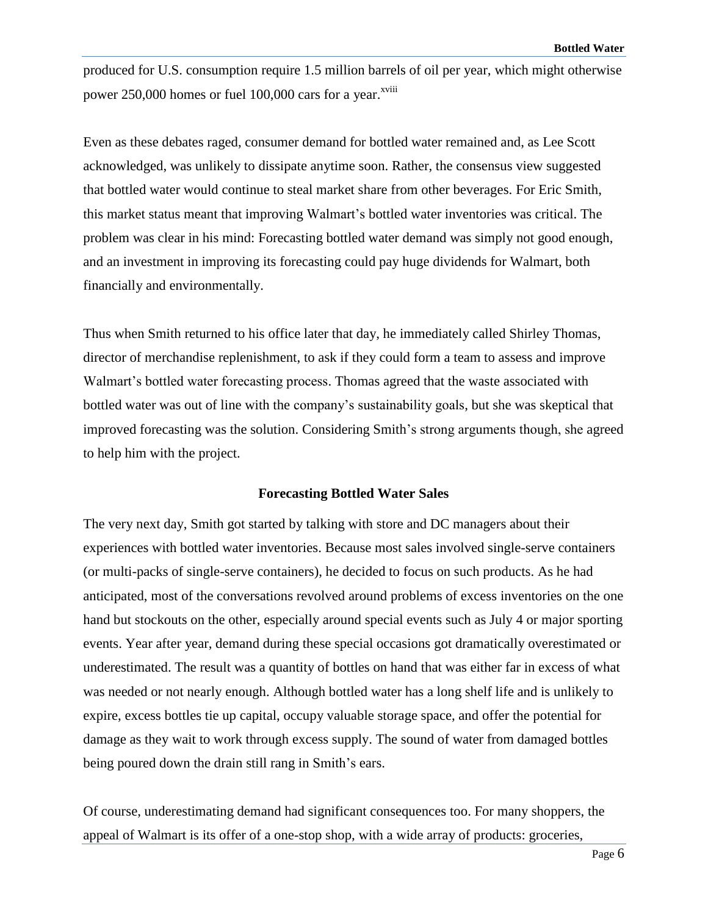produced for U.S. consumption require 1.5 million barrels of oil per year, which might otherwise power 250,000 homes or fuel 100,000 cars for a year.<sup>xviii</sup>

Even as these debates raged, consumer demand for bottled water remained and, as Lee Scott acknowledged, was unlikely to dissipate anytime soon. Rather, the consensus view suggested that bottled water would continue to steal market share from other beverages. For Eric Smith, this market status meant that improving Walmart's bottled water inventories was critical. The problem was clear in his mind: Forecasting bottled water demand was simply not good enough, and an investment in improving its forecasting could pay huge dividends for Walmart, both financially and environmentally.

Thus when Smith returned to his office later that day, he immediately called Shirley Thomas, director of merchandise replenishment, to ask if they could form a team to assess and improve Walmart's bottled water forecasting process. Thomas agreed that the waste associated with bottled water was out of line with the company's sustainability goals, but she was skeptical that improved forecasting was the solution. Considering Smith's strong arguments though, she agreed to help him with the project.

## **Forecasting Bottled Water Sales**

The very next day, Smith got started by talking with store and DC managers about their experiences with bottled water inventories. Because most sales involved single-serve containers (or multi-packs of single-serve containers), he decided to focus on such products. As he had anticipated, most of the conversations revolved around problems of excess inventories on the one hand but stockouts on the other, especially around special events such as July 4 or major sporting events. Year after year, demand during these special occasions got dramatically overestimated or underestimated. The result was a quantity of bottles on hand that was either far in excess of what was needed or not nearly enough. Although bottled water has a long shelf life and is unlikely to expire, excess bottles tie up capital, occupy valuable storage space, and offer the potential for damage as they wait to work through excess supply. The sound of water from damaged bottles being poured down the drain still rang in Smith's ears.

Of course, underestimating demand had significant consequences too. For many shoppers, the appeal of Walmart is its offer of a one-stop shop, with a wide array of products: groceries,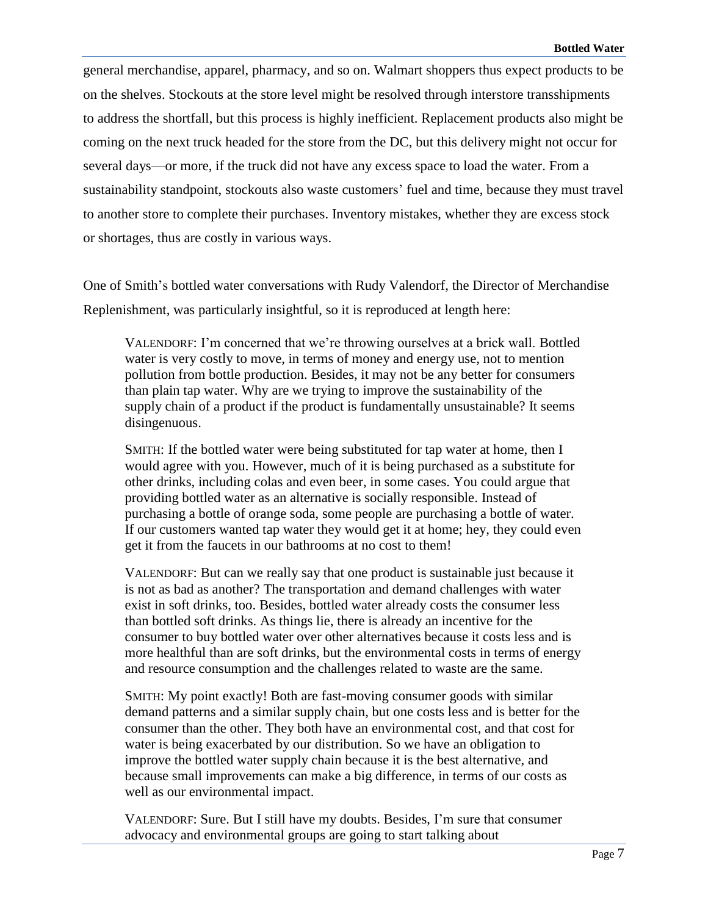general merchandise, apparel, pharmacy, and so on. Walmart shoppers thus expect products to be on the shelves. Stockouts at the store level might be resolved through interstore transshipments to address the shortfall, but this process is highly inefficient. Replacement products also might be coming on the next truck headed for the store from the DC, but this delivery might not occur for several days—or more, if the truck did not have any excess space to load the water. From a sustainability standpoint, stockouts also waste customers' fuel and time, because they must travel to another store to complete their purchases. Inventory mistakes, whether they are excess stock or shortages, thus are costly in various ways.

One of Smith's bottled water conversations with Rudy Valendorf, the Director of Merchandise Replenishment, was particularly insightful, so it is reproduced at length here:

VALENDORF: I'm concerned that we're throwing ourselves at a brick wall. Bottled water is very costly to move, in terms of money and energy use, not to mention pollution from bottle production. Besides, it may not be any better for consumers than plain tap water. Why are we trying to improve the sustainability of the supply chain of a product if the product is fundamentally unsustainable? It seems disingenuous.

SMITH: If the bottled water were being substituted for tap water at home, then I would agree with you. However, much of it is being purchased as a substitute for other drinks, including colas and even beer, in some cases. You could argue that providing bottled water as an alternative is socially responsible. Instead of purchasing a bottle of orange soda, some people are purchasing a bottle of water. If our customers wanted tap water they would get it at home; hey, they could even get it from the faucets in our bathrooms at no cost to them!

VALENDORF: But can we really say that one product is sustainable just because it is not as bad as another? The transportation and demand challenges with water exist in soft drinks, too. Besides, bottled water already costs the consumer less than bottled soft drinks. As things lie, there is already an incentive for the consumer to buy bottled water over other alternatives because it costs less and is more healthful than are soft drinks, but the environmental costs in terms of energy and resource consumption and the challenges related to waste are the same.

SMITH: My point exactly! Both are fast-moving consumer goods with similar demand patterns and a similar supply chain, but one costs less and is better for the consumer than the other. They both have an environmental cost, and that cost for water is being exacerbated by our distribution. So we have an obligation to improve the bottled water supply chain because it is the best alternative, and because small improvements can make a big difference, in terms of our costs as well as our environmental impact.

VALENDORF: Sure. But I still have my doubts. Besides, I'm sure that consumer advocacy and environmental groups are going to start talking about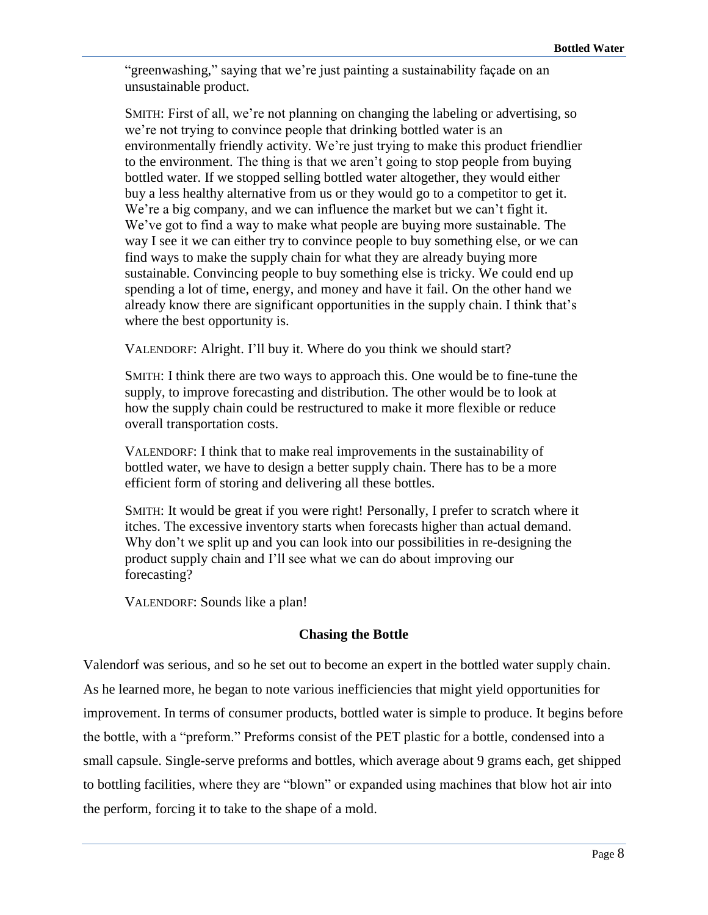"greenwashing," saying that we're just painting a sustainability façade on an unsustainable product.

SMITH: First of all, we're not planning on changing the labeling or advertising, so we're not trying to convince people that drinking bottled water is an environmentally friendly activity. We're just trying to make this product friendlier to the environment. The thing is that we aren't going to stop people from buying bottled water. If we stopped selling bottled water altogether, they would either buy a less healthy alternative from us or they would go to a competitor to get it. We're a big company, and we can influence the market but we can't fight it. We've got to find a way to make what people are buying more sustainable. The way I see it we can either try to convince people to buy something else, or we can find ways to make the supply chain for what they are already buying more sustainable. Convincing people to buy something else is tricky. We could end up spending a lot of time, energy, and money and have it fail. On the other hand we already know there are significant opportunities in the supply chain. I think that's where the best opportunity is.

VALENDORF: Alright. I'll buy it. Where do you think we should start?

SMITH: I think there are two ways to approach this. One would be to fine-tune the supply, to improve forecasting and distribution. The other would be to look at how the supply chain could be restructured to make it more flexible or reduce overall transportation costs.

VALENDORF: I think that to make real improvements in the sustainability of bottled water, we have to design a better supply chain. There has to be a more efficient form of storing and delivering all these bottles.

SMITH: It would be great if you were right! Personally, I prefer to scratch where it itches. The excessive inventory starts when forecasts higher than actual demand. Why don't we split up and you can look into our possibilities in re-designing the product supply chain and I'll see what we can do about improving our forecasting?

VALENDORF: Sounds like a plan!

## **Chasing the Bottle**

Valendorf was serious, and so he set out to become an expert in the bottled water supply chain. As he learned more, he began to note various inefficiencies that might yield opportunities for improvement. In terms of consumer products, bottled water is simple to produce. It begins before the bottle, with a "preform." Preforms consist of the PET plastic for a bottle, condensed into a small capsule. Single-serve preforms and bottles, which average about 9 grams each, get shipped to bottling facilities, where they are "blown" or expanded using machines that blow hot air into the perform, forcing it to take to the shape of a mold.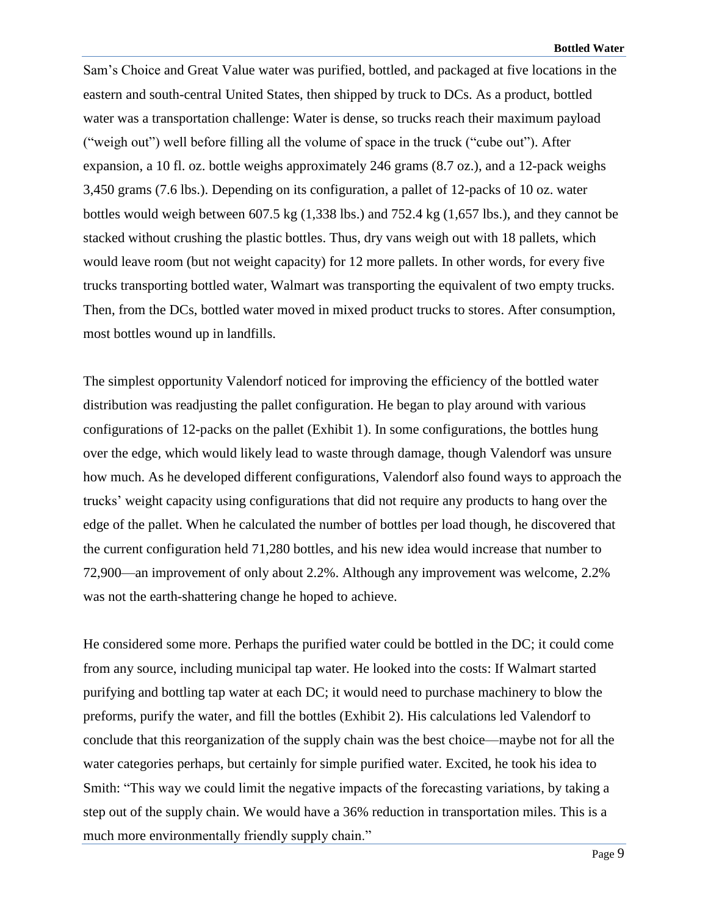Sam's Choice and Great Value water was purified, bottled, and packaged at five locations in the eastern and south-central United States, then shipped by truck to DCs. As a product, bottled water was a transportation challenge: Water is dense, so trucks reach their maximum payload ("weigh out") well before filling all the volume of space in the truck ("cube out"). After expansion, a 10 fl. oz. bottle weighs approximately 246 grams (8.7 oz.), and a 12-pack weighs 3,450 grams (7.6 lbs.). Depending on its configuration, a pallet of 12-packs of 10 oz. water bottles would weigh between 607.5 kg (1,338 lbs.) and 752.4 kg (1,657 lbs.), and they cannot be stacked without crushing the plastic bottles. Thus, dry vans weigh out with 18 pallets, which would leave room (but not weight capacity) for 12 more pallets. In other words, for every five trucks transporting bottled water, Walmart was transporting the equivalent of two empty trucks. Then, from the DCs, bottled water moved in mixed product trucks to stores. After consumption, most bottles wound up in landfills.

The simplest opportunity Valendorf noticed for improving the efficiency of the bottled water distribution was readjusting the pallet configuration. He began to play around with various configurations of 12-packs on the pallet (Exhibit 1). In some configurations, the bottles hung over the edge, which would likely lead to waste through damage, though Valendorf was unsure how much. As he developed different configurations, Valendorf also found ways to approach the trucks' weight capacity using configurations that did not require any products to hang over the edge of the pallet. When he calculated the number of bottles per load though, he discovered that the current configuration held 71,280 bottles, and his new idea would increase that number to 72,900—an improvement of only about 2.2%. Although any improvement was welcome, 2.2% was not the earth-shattering change he hoped to achieve.

He considered some more. Perhaps the purified water could be bottled in the DC; it could come from any source, including municipal tap water. He looked into the costs: If Walmart started purifying and bottling tap water at each DC; it would need to purchase machinery to blow the preforms, purify the water, and fill the bottles (Exhibit 2). His calculations led Valendorf to conclude that this reorganization of the supply chain was the best choice—maybe not for all the water categories perhaps, but certainly for simple purified water. Excited, he took his idea to Smith: "This way we could limit the negative impacts of the forecasting variations, by taking a step out of the supply chain. We would have a 36% reduction in transportation miles. This is a much more environmentally friendly supply chain."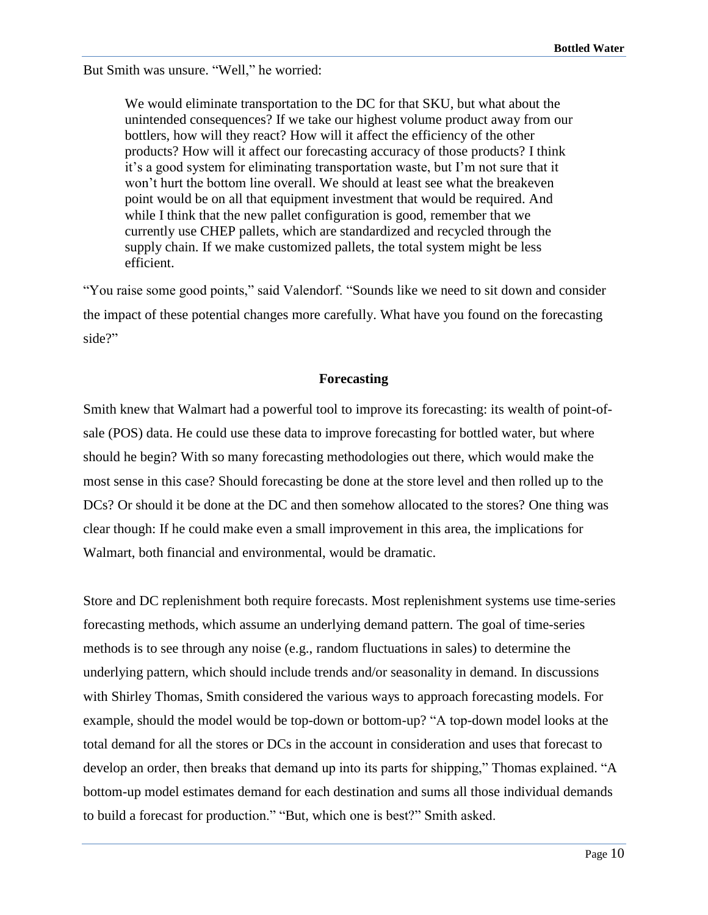But Smith was unsure. "Well," he worried:

We would eliminate transportation to the DC for that SKU, but what about the unintended consequences? If we take our highest volume product away from our bottlers, how will they react? How will it affect the efficiency of the other products? How will it affect our forecasting accuracy of those products? I think it's a good system for eliminating transportation waste, but I'm not sure that it won't hurt the bottom line overall. We should at least see what the breakeven point would be on all that equipment investment that would be required. And while I think that the new pallet configuration is good, remember that we currently use CHEP pallets, which are standardized and recycled through the supply chain. If we make customized pallets, the total system might be less efficient.

"You raise some good points," said Valendorf. "Sounds like we need to sit down and consider the impact of these potential changes more carefully. What have you found on the forecasting side?"

## **Forecasting**

Smith knew that Walmart had a powerful tool to improve its forecasting: its wealth of point-ofsale (POS) data. He could use these data to improve forecasting for bottled water, but where should he begin? With so many forecasting methodologies out there, which would make the most sense in this case? Should forecasting be done at the store level and then rolled up to the DCs? Or should it be done at the DC and then somehow allocated to the stores? One thing was clear though: If he could make even a small improvement in this area, the implications for Walmart, both financial and environmental, would be dramatic.

Store and DC replenishment both require forecasts. Most replenishment systems use time-series forecasting methods, which assume an underlying demand pattern. The goal of time-series methods is to see through any noise (e.g., random fluctuations in sales) to determine the underlying pattern, which should include trends and/or seasonality in demand. In discussions with Shirley Thomas, Smith considered the various ways to approach forecasting models. For example, should the model would be top-down or bottom-up? "A top-down model looks at the total demand for all the stores or DCs in the account in consideration and uses that forecast to develop an order, then breaks that demand up into its parts for shipping," Thomas explained. "A bottom-up model estimates demand for each destination and sums all those individual demands to build a forecast for production." "But, which one is best?" Smith asked.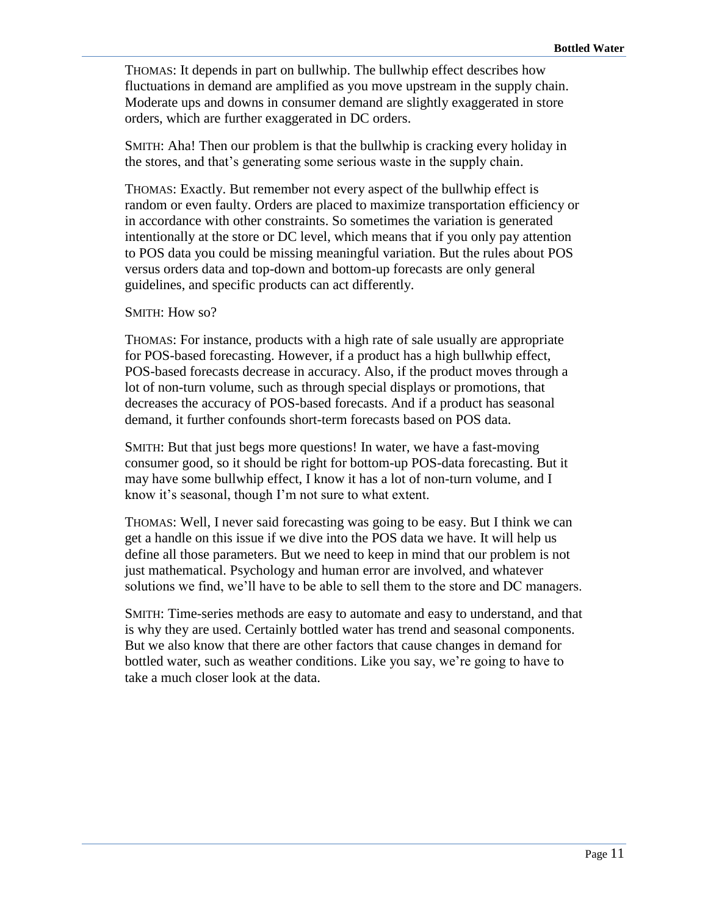THOMAS: It depends in part on bullwhip. The bullwhip effect describes how fluctuations in demand are amplified as you move upstream in the supply chain. Moderate ups and downs in consumer demand are slightly exaggerated in store orders, which are further exaggerated in DC orders.

SMITH: Aha! Then our problem is that the bullwhip is cracking every holiday in the stores, and that's generating some serious waste in the supply chain.

THOMAS: Exactly. But remember not every aspect of the bullwhip effect is random or even faulty. Orders are placed to maximize transportation efficiency or in accordance with other constraints. So sometimes the variation is generated intentionally at the store or DC level, which means that if you only pay attention to POS data you could be missing meaningful variation. But the rules about POS versus orders data and top-down and bottom-up forecasts are only general guidelines, and specific products can act differently.

#### SMITH: How so?

THOMAS: For instance, products with a high rate of sale usually are appropriate for POS-based forecasting. However, if a product has a high bullwhip effect, POS-based forecasts decrease in accuracy. Also, if the product moves through a lot of non-turn volume, such as through special displays or promotions, that decreases the accuracy of POS-based forecasts. And if a product has seasonal demand, it further confounds short-term forecasts based on POS data.

SMITH: But that just begs more questions! In water, we have a fast-moving consumer good, so it should be right for bottom-up POS-data forecasting. But it may have some bullwhip effect, I know it has a lot of non-turn volume, and I know it's seasonal, though I'm not sure to what extent.

THOMAS: Well, I never said forecasting was going to be easy. But I think we can get a handle on this issue if we dive into the POS data we have. It will help us define all those parameters. But we need to keep in mind that our problem is not just mathematical. Psychology and human error are involved, and whatever solutions we find, we'll have to be able to sell them to the store and DC managers.

SMITH: Time-series methods are easy to automate and easy to understand, and that is why they are used. Certainly bottled water has trend and seasonal components. But we also know that there are other factors that cause changes in demand for bottled water, such as weather conditions. Like you say, we're going to have to take a much closer look at the data.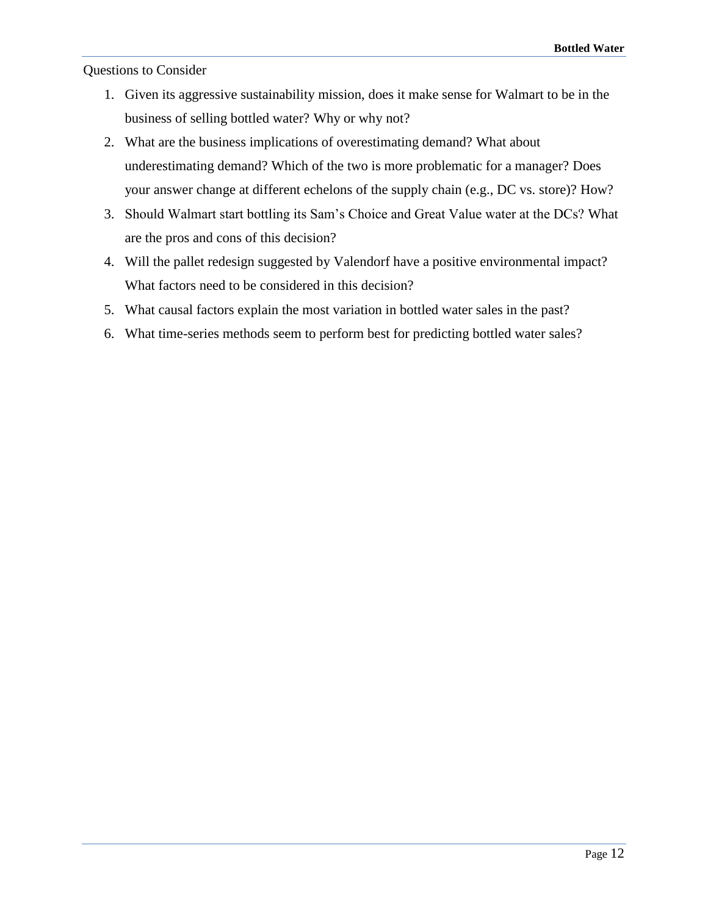## Questions to Consider

- 1. Given its aggressive sustainability mission, does it make sense for Walmart to be in the business of selling bottled water? Why or why not?
- 2. What are the business implications of overestimating demand? What about underestimating demand? Which of the two is more problematic for a manager? Does your answer change at different echelons of the supply chain (e.g., DC vs. store)? How?
- 3. Should Walmart start bottling its Sam's Choice and Great Value water at the DCs? What are the pros and cons of this decision?
- 4. Will the pallet redesign suggested by Valendorf have a positive environmental impact? What factors need to be considered in this decision?
- 5. What causal factors explain the most variation in bottled water sales in the past?
- 6. What time-series methods seem to perform best for predicting bottled water sales?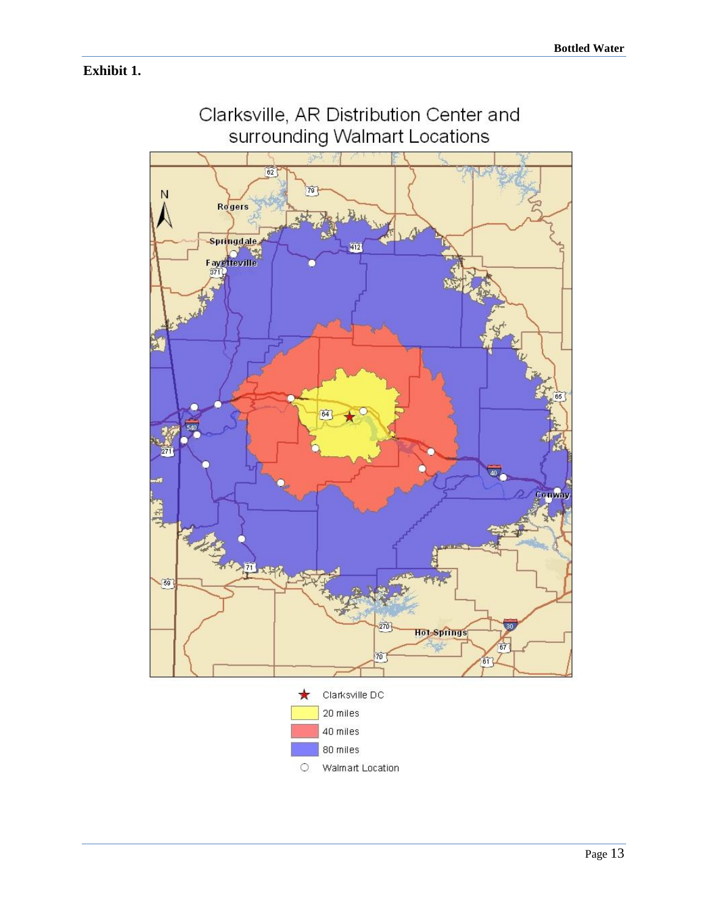## **Exhibit 1.**

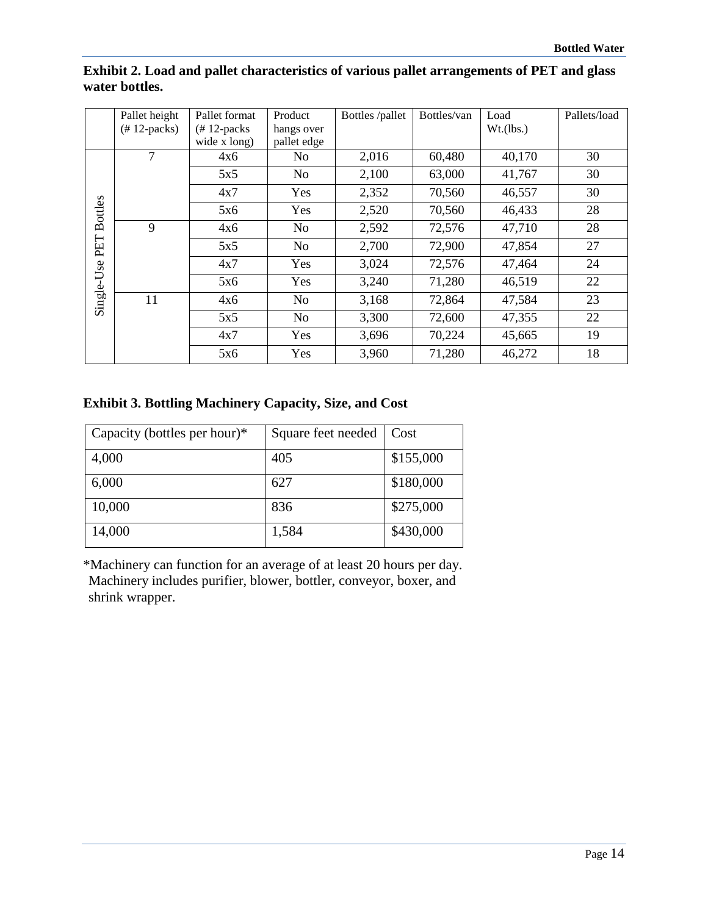|                | Pallet height    | Pallet format  | Product        | Bottles /pallet | Bottles/van | Load      | Pallets/load |
|----------------|------------------|----------------|----------------|-----------------|-------------|-----------|--------------|
|                | $(\# 12$ -packs) | $(# 12$ -packs | hangs over     |                 |             | Wt.(lbs.) |              |
|                |                  | wide x long)   | pallet edge    |                 |             |           |              |
|                | 7                | 4x6            | N <sub>0</sub> | 2,016           | 60,480      | 40,170    | 30           |
|                |                  | 5x5            | N <sub>0</sub> | 2,100           | 63,000      | 41,767    | 30           |
|                |                  | 4x7            | Yes            | 2,352           | 70,560      | 46,557    | 30           |
| <b>Bottles</b> |                  | 5x6            | Yes            | 2,520           | 70,560      | 46,433    | 28           |
|                | 9                | 4x6            | No             | 2,592           | 72,576      | 47,710    | 28           |
| PET            |                  | 5x5            | N <sub>o</sub> | 2,700           | 72,900      | 47,854    | 27           |
|                |                  | 4x7            | Yes            | 3,024           | 72,576      | 47,464    | 24           |
|                |                  | 5x6            | Yes            | 3,240           | 71,280      | 46,519    | 22           |
| Single-Use     | 11               | 4x6            | No             | 3,168           | 72,864      | 47,584    | 23           |
|                |                  | 5x5            | No             | 3,300           | 72,600      | 47,355    | 22           |
|                |                  | 4x7            | Yes            | 3,696           | 70,224      | 45,665    | 19           |
|                |                  | 5x6            | Yes            | 3,960           | 71,280      | 46,272    | 18           |

## **Exhibit 2. Load and pallet characteristics of various pallet arrangements of PET and glass water bottles.**

## **Exhibit 3. Bottling Machinery Capacity, Size, and Cost**

| Capacity (bottles per hour) $*$ | Square feet needed | Cost      |
|---------------------------------|--------------------|-----------|
| 4,000                           | 405                | \$155,000 |
| 6,000                           | 627                | \$180,000 |
| 10,000                          | 836                | \$275,000 |
| 14,000                          | 1,584              | \$430,000 |

\*Machinery can function for an average of at least 20 hours per day. Machinery includes purifier, blower, bottler, conveyor, boxer, and shrink wrapper.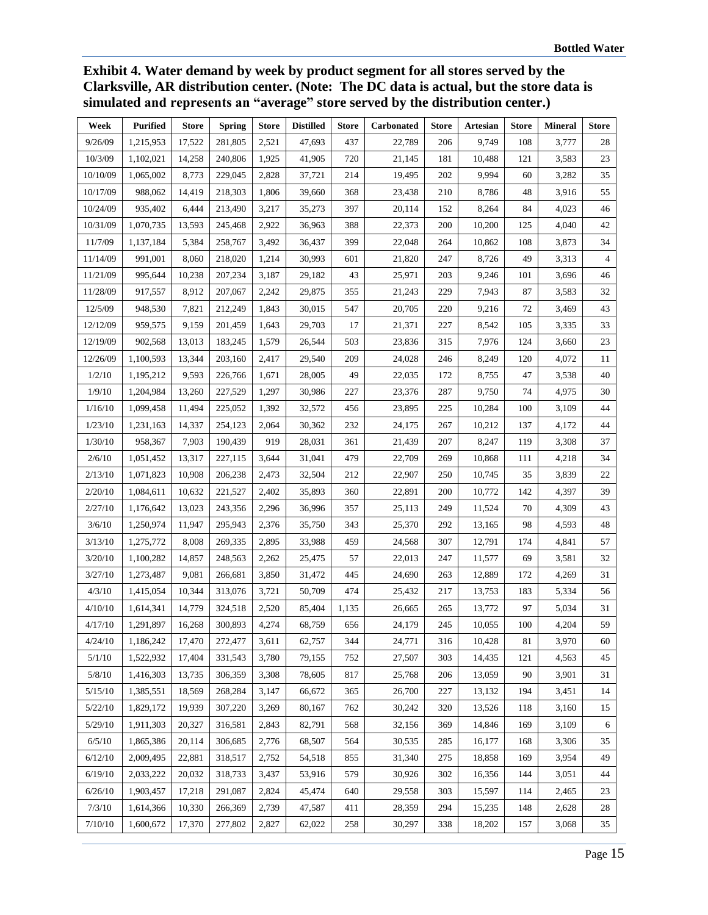**Exhibit 4. Water demand by week by product segment for all stores served by the Clarksville, AR distribution center. (Note: The DC data is actual, but the store data is simulated and represents an "average" store served by the distribution center.)**

| Week     | <b>Purified</b> | Store  | <b>Spring</b> | <b>Store</b> | <b>Distilled</b> | <b>Store</b> | <b>Carbonated</b> | <b>Store</b> | <b>Artesian</b> | <b>Store</b> | <b>Mineral</b> | <b>Store</b>   |
|----------|-----------------|--------|---------------|--------------|------------------|--------------|-------------------|--------------|-----------------|--------------|----------------|----------------|
| 9/26/09  | 1,215,953       | 17,522 | 281,805       | 2,521        | 47,693           | 437          | 22,789            | 206          | 9,749           | 108          | 3,777          | 28             |
| 10/3/09  | 1,102,021       | 14,258 | 240,806       | 1,925        | 41,905           | 720          | 21,145            | 181          | 10,488          | 121          | 3,583          | 23             |
| 10/10/09 | 1,065,002       | 8,773  | 229,045       | 2,828        | 37,721           | 214          | 19,495            | 202          | 9,994           | 60           | 3,282          | 35             |
| 10/17/09 | 988,062         | 14,419 | 218,303       | 1,806        | 39,660           | 368          | 23,438            | 210          | 8,786           | 48           | 3,916          | 55             |
| 10/24/09 | 935,402         | 6,444  | 213,490       | 3,217        | 35,273           | 397          | 20,114            | 152          | 8,264           | 84           | 4,023          | 46             |
| 10/31/09 | 1,070,735       | 13,593 | 245,468       | 2,922        | 36,963           | 388          | 22,373            | 200          | 10,200          | 125          | 4,040          | 42             |
| 11/7/09  | 1,137,184       | 5,384  | 258,767       | 3,492        | 36,437           | 399          | 22,048            | 264          | 10,862          | 108          | 3,873          | 34             |
| 11/14/09 | 991,001         | 8,060  | 218,020       | 1,214        | 30,993           | 601          | 21,820            | 247          | 8,726           | 49           | 3,313          | $\overline{4}$ |
| 11/21/09 | 995,644         | 10,238 | 207,234       | 3,187        | 29,182           | 43           | 25,971            | 203          | 9,246           | 101          | 3,696          | $46\,$         |
| 11/28/09 | 917,557         | 8,912  | 207,067       | 2,242        | 29,875           | 355          | 21,243            | 229          | 7,943           | 87           | 3,583          | 32             |
| 12/5/09  | 948,530         | 7,821  | 212,249       | 1,843        | 30,015           | 547          | 20,705            | 220          | 9,216           | 72           | 3,469          | 43             |
| 12/12/09 | 959,575         | 9,159  | 201,459       | 1,643        | 29,703           | 17           | 21,371            | 227          | 8,542           | 105          | 3,335          | 33             |
| 12/19/09 | 902,568         | 13,013 | 183,245       | 1,579        | 26,544           | 503          | 23,836            | 315          | 7,976           | 124          | 3,660          | 23             |
| 12/26/09 | 1,100,593       | 13,344 | 203,160       | 2,417        | 29,540           | 209          | 24,028            | 246          | 8,249           | 120          | 4,072          | 11             |
| 1/2/10   | 1,195,212       | 9,593  | 226,766       | 1,671        | 28,005           | 49           | 22,035            | 172          | 8,755           | 47           | 3,538          | 40             |
| 1/9/10   | 1,204,984       | 13,260 | 227,529       | 1,297        | 30,986           | 227          | 23,376            | 287          | 9,750           | 74           | 4,975          | 30             |
| 1/16/10  | 1,099,458       | 11,494 | 225,052       | 1,392        | 32,572           | 456          | 23,895            | 225          | 10,284          | 100          | 3,109          | 44             |
| 1/23/10  | 1,231,163       | 14,337 | 254,123       | 2,064        | 30,362           | 232          | 24,175            | 267          | 10,212          | 137          | 4,172          | $44\,$         |
| 1/30/10  | 958,367         | 7,903  | 190,439       | 919          | 28,031           | 361          | 21,439            | 207          | 8,247           | 119          | 3,308          | 37             |
| 2/6/10   | 1,051,452       | 13,317 | 227,115       | 3,644        | 31,041           | 479          | 22,709            | 269          | 10,868          | 111          | 4,218          | 34             |
| 2/13/10  | 1,071,823       | 10,908 | 206,238       | 2,473        | 32,504           | 212          | 22,907            | 250          | 10,745          | 35           | 3,839          | 22             |
| 2/20/10  | 1,084,611       | 10,632 | 221,527       | 2,402        | 35,893           | 360          | 22,891            | 200          | 10,772          | 142          | 4,397          | 39             |
| 2/27/10  | 1,176,642       | 13,023 | 243,356       | 2,296        | 36,996           | 357          | 25,113            | 249          | 11,524          | 70           | 4,309          | 43             |
| 3/6/10   | 1,250,974       | 11,947 | 295,943       | 2,376        | 35,750           | 343          | 25,370            | 292          | 13,165          | 98           | 4,593          | $\sqrt{48}$    |
| 3/13/10  | 1,275,772       | 8,008  | 269,335       | 2,895        | 33,988           | 459          | 24,568            | 307          | 12,791          | 174          | 4,841          | 57             |
| 3/20/10  | 1,100,282       | 14,857 | 248,563       | 2,262        | 25,475           | 57           | 22,013            | 247          | 11,577          | 69           | 3,581          | 32             |
| 3/27/10  | 1,273,487       | 9,081  | 266,681       | 3,850        | 31,472           | 445          | 24,690            | 263          | 12,889          | 172          | 4,269          | 31             |
| 4/3/10   | 1,415,054       | 10,344 | 313,076       | 3,721        | 50,709           | 474          | 25,432            | 217          | 13,753          | 183          | 5,334          | 56             |
| 4/10/10  | 1,614,341       | 14,779 | 324,518       | 2,520        | 85,404           | 1,135        | 26,665            | 265          | 13,772          | 97           | 5,034          | 31             |
| 4/17/10  | 1,291,897       | 16,268 | 300,893       | 4,274        | 68,759           | 656          | 24,179            | 245          | 10,055          | 100          | 4,204          | 59             |
| 4/24/10  | 1,186,242       | 17,470 | 272,477       | 3,611        | 62,757           | 344          | 24,771            | 316          | 10,428          | 81           | 3,970          | 60             |
| 5/1/10   | 1,522,932       | 17,404 | 331,543       | 3,780        | 79,155           | 752          | 27,507            | 303          | 14,435          | 121          | 4,563          | 45             |
| 5/8/10   | 1,416,303       | 13,735 | 306,359       | 3,308        | 78,605           | 817          | 25,768            | 206          | 13,059          | 90           | 3,901          | 31             |
| 5/15/10  | 1,385,551       | 18,569 | 268,284       | 3,147        | 66,672           | 365          | 26,700            | 227          | 13,132          | 194          | 3,451          | 14             |
| 5/22/10  | 1,829,172       | 19,939 | 307,220       | 3,269        | 80,167           | 762          | 30,242            | 320          | 13,526          | 118          | 3,160          | 15             |
| 5/29/10  | 1,911,303       | 20,327 | 316,581       | 2,843        | 82,791           | 568          | 32,156            | 369          | 14,846          | 169          | 3,109          | 6              |
| 6/5/10   | 1,865,386       | 20,114 | 306,685       | 2,776        | 68,507           | 564          | 30,535            | 285          | 16,177          | 168          | 3,306          | 35             |
| 6/12/10  | 2,009,495       | 22,881 | 318,517       | 2,752        | 54,518           | 855          | 31,340            | 275          | 18,858          | 169          | 3,954          | 49             |
| 6/19/10  | 2,033,222       | 20,032 | 318,733       | 3,437        | 53,916           | 579          | 30,926            | 302          | 16,356          | 144          | 3,051          | 44             |
| 6/26/10  | 1,903,457       | 17,218 | 291,087       | 2,824        | 45,474           | 640          | 29,558            | 303          | 15,597          | 114          | 2,465          | 23             |
| 7/3/10   | 1,614,366       | 10,330 | 266,369       | 2,739        | 47,587           | 411          | 28,359            | 294          | 15,235          | 148          | 2,628          | 28             |
| 7/10/10  | 1,600,672       | 17,370 | 277,802       | 2,827        | 62,022           | 258          | 30,297            | 338          | 18,202          | 157          | 3,068          | 35             |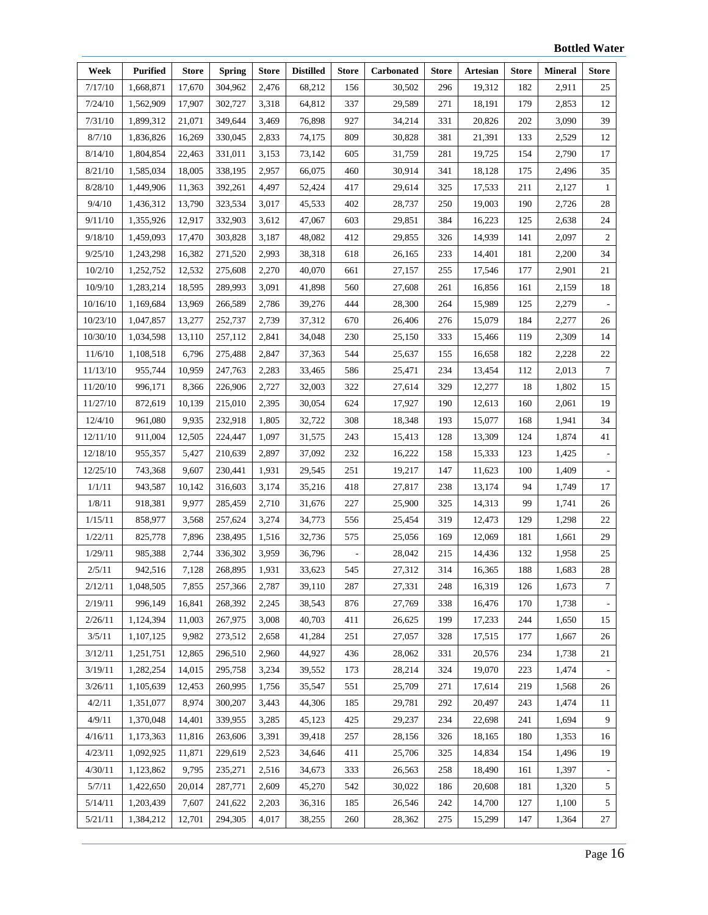| Week     | <b>Purified</b> | <b>Store</b> | <b>Spring</b> | <b>Store</b> | <b>Distilled</b> | <b>Store</b> | <b>Carbonated</b> | <b>Store</b> | <b>Artesian</b> | <b>Store</b> | <b>Mineral</b> | Store            |
|----------|-----------------|--------------|---------------|--------------|------------------|--------------|-------------------|--------------|-----------------|--------------|----------------|------------------|
| 7/17/10  | 1,668,871       | 17,670       | 304,962       | 2,476        | 68,212           | 156          | 30,502            | 296          | 19,312          | 182          | 2,911          | 25               |
| 7/24/10  | 1,562,909       | 17,907       | 302,727       | 3,318        | 64,812           | 337          | 29,589            | 271          | 18,191          | 179          | 2,853          | 12               |
| 7/31/10  | 1,899,312       | 21,071       | 349,644       | 3,469        | 76,898           | 927          | 34,214            | 331          | 20,826          | 202          | 3,090          | 39               |
| 8/7/10   | 1,836,826       | 16,269       | 330,045       | 2,833        | 74,175           | 809          | 30,828            | 381          | 21,391          | 133          | 2,529          | 12               |
| 8/14/10  | 1,804,854       | 22,463       | 331,011       | 3,153        | 73,142           | 605          | 31,759            | 281          | 19,725          | 154          | 2,790          | 17               |
| 8/21/10  | 1,585,034       | 18,005       | 338,195       | 2,957        | 66,075           | 460          | 30,914            | 341          | 18,128          | 175          | 2,496          | 35               |
| 8/28/10  | 1,449,906       | 11,363       | 392,261       | 4,497        | 52,424           | 417          | 29,614            | 325          | 17,533          | 211          | 2,127          | $\mathbf{1}$     |
| 9/4/10   | 1,436,312       | 13,790       | 323,534       | 3,017        | 45,533           | 402          | 28,737            | 250          | 19,003          | 190          | 2,726          | 28               |
| 9/11/10  | 1,355,926       | 12,917       | 332,903       | 3,612        | 47,067           | 603          | 29,851            | 384          | 16,223          | 125          | 2,638          | 24               |
| 9/18/10  | 1,459,093       | 17,470       | 303,828       | 3,187        | 48,082           | 412          | 29,855            | 326          | 14,939          | 141          | 2,097          | 2                |
| 9/25/10  | 1,243,298       | 16,382       | 271,520       | 2,993        | 38,318           | 618          | 26,165            | 233          | 14,401          | 181          | 2,200          | 34               |
| 10/2/10  | 1,252,752       | 12,532       | 275,608       | 2,270        | 40,070           | 661          | 27,157            | 255          | 17,546          | 177          | 2,901          | 21               |
| 10/9/10  | 1,283,214       | 18,595       | 289,993       | 3,091        | 41,898           | 560          | 27,608            | 261          | 16,856          | 161          | 2,159          | 18               |
| 10/16/10 | 1,169,684       | 13,969       | 266,589       | 2,786        | 39,276           | 444          | 28,300            | 264          | 15,989          | 125          | 2,279          |                  |
| 10/23/10 | 1,047,857       | 13,277       | 252,737       | 2,739        | 37,312           | 670          | 26,406            | 276          | 15,079          | 184          | 2,277          | 26               |
| 10/30/10 | 1,034,598       | 13,110       | 257,112       | 2,841        | 34,048           | 230          | 25,150            | 333          | 15,466          | 119          | 2,309          | 14               |
| 11/6/10  | 1,108,518       | 6,796        | 275,488       | 2,847        | 37,363           | 544          | 25,637            | 155          | 16,658          | 182          | 2,228          | 22               |
| 11/13/10 | 955,744         | 10,959       | 247,763       | 2,283        | 33,465           | 586          | 25,471            | 234          | 13,454          | 112          | 2,013          | $\boldsymbol{7}$ |
| 11/20/10 | 996,171         | 8,366        | 226,906       | 2,727        | 32,003           | 322          | 27,614            | 329          | 12,277          | 18           | 1,802          | 15               |
| 11/27/10 | 872,619         | 10,139       | 215,010       | 2,395        | 30,054           | 624          | 17,927            | 190          | 12,613          | 160          | 2,061          | 19               |
| 12/4/10  | 961,080         | 9,935        | 232,918       | 1,805        | 32,722           | 308          | 18,348            | 193          | 15,077          | 168          | 1,941          | 34               |
| 12/11/10 | 911,004         | 12,505       | 224,447       | 1,097        | 31,575           | 243          | 15,413            | 128          | 13,309          | 124          | 1,874          | 41               |
| 12/18/10 | 955,357         | 5,427        | 210,639       | 2,897        | 37,092           | 232          | 16,222            | 158          | 15,333          | 123          | 1,425          |                  |
| 12/25/10 | 743,368         | 9,607        | 230,441       | 1,931        | 29,545           | 251          | 19,217            | 147          | 11,623          | 100          | 1,409          |                  |
| 1/1/11   | 943,587         | 10,142       | 316,603       | 3,174        | 35,216           | 418          | 27,817            | 238          | 13,174          | 94           | 1,749          | 17               |
| 1/8/11   | 918,381         | 9,977        | 285,459       | 2,710        | 31,676           | 227          | 25,900            | 325          | 14,313          | 99           | 1,741          | 26               |
| 1/15/11  | 858,977         | 3,568        | 257,624       | 3,274        | 34,773           | 556          | 25,454            | 319          | 12,473          | 129          | 1,298          | 22               |
| 1/22/11  | 825,778         | 7,896        | 238,495       | 1,516        | 32,736           | 575          | 25,056            | 169          | 12,069          | 181          | 1,661          | 29               |
| 1/29/11  | 985,388         | 2,744        | 336,302       | 3,959        | 36,796           |              | 28,042            | 215          | 14,436          | 132          | 1,958          | 25               |
| 2/5/11   | 942,516         | 7,128        | 268,895       | 1,931        | 33,623           | 545          | 27,312            | 314          | 16,365          | 188          | 1,683          | $28\,$           |
| 2/12/11  | 1,048,505       | 7,855        | 257,366       | 2,787        | 39,110           | 287          | 27,331            | 248          | 16,319          | 126          | 1,673          | 7                |
| 2/19/11  | 996,149         | 16,841       | 268,392       | 2,245        | 38,543           | 876          | 27,769            | 338          | 16,476          | 170          | 1,738          |                  |
| 2/26/11  | 1,124,394       | 11,003       | 267,975       | 3,008        | 40,703           | 411          | 26,625            | 199          | 17,233          | 244          | 1,650          | 15               |
| 3/5/11   | 1,107,125       | 9,982        | 273,512       | 2,658        | 41,284           | 251          | 27,057            | 328          | 17,515          | 177          | 1,667          | 26               |
| 3/12/11  | 1,251,751       | 12,865       | 296,510       | 2,960        | 44,927           | 436          | 28,062            | 331          | 20,576          | 234          | 1,738          | 21               |
| 3/19/11  | 1,282,254       | 14,015       | 295,758       | 3,234        | 39,552           | 173          | 28,214            | 324          | 19,070          | 223          | 1,474          |                  |
| 3/26/11  | 1,105,639       | 12,453       | 260,995       | 1,756        | 35,547           | 551          | 25,709            | 271          | 17,614          | 219          | 1,568          | 26               |
| 4/2/11   | 1,351,077       | 8,974        | 300,207       | 3,443        | 44,306           | 185          | 29,781            | 292          | 20,497          | 243          | 1,474          | 11               |
| 4/9/11   | 1,370,048       | 14,401       | 339,955       | 3,285        | 45,123           | 425          | 29,237            | 234          | 22,698          | 241          | 1,694          | 9                |
| 4/16/11  | 1,173,363       | 11,816       | 263,606       | 3,391        | 39,418           | 257          | 28,156            | 326          | 18,165          | 180          | 1,353          | 16               |
| 4/23/11  | 1,092,925       | 11,871       | 229,619       | 2,523        | 34,646           | 411          | 25,706            | 325          | 14,834          | 154          | 1,496          | 19               |
| 4/30/11  | 1,123,862       | 9,795        | 235,271       | 2,516        | 34,673           | 333          | 26,563            | 258          | 18,490          | 161          | 1,397          |                  |
| 5/7/11   | 1,422,650       | 20,014       | 287,771       | 2,609        | 45,270           | 542          | 30,022            | 186          | 20,608          | 181          | 1,320          | 5                |
| 5/14/11  | 1,203,439       | 7,607        | 241,622       | 2,203        | 36,316           | 185          | 26,546            | 242          | 14,700          | 127          | 1,100          | 5                |
| 5/21/11  | 1,384,212       | 12,701       | 294,305       | 4,017        | 38,255           | 260          | 28,362            | 275          | 15,299          | 147          | 1,364          | 27               |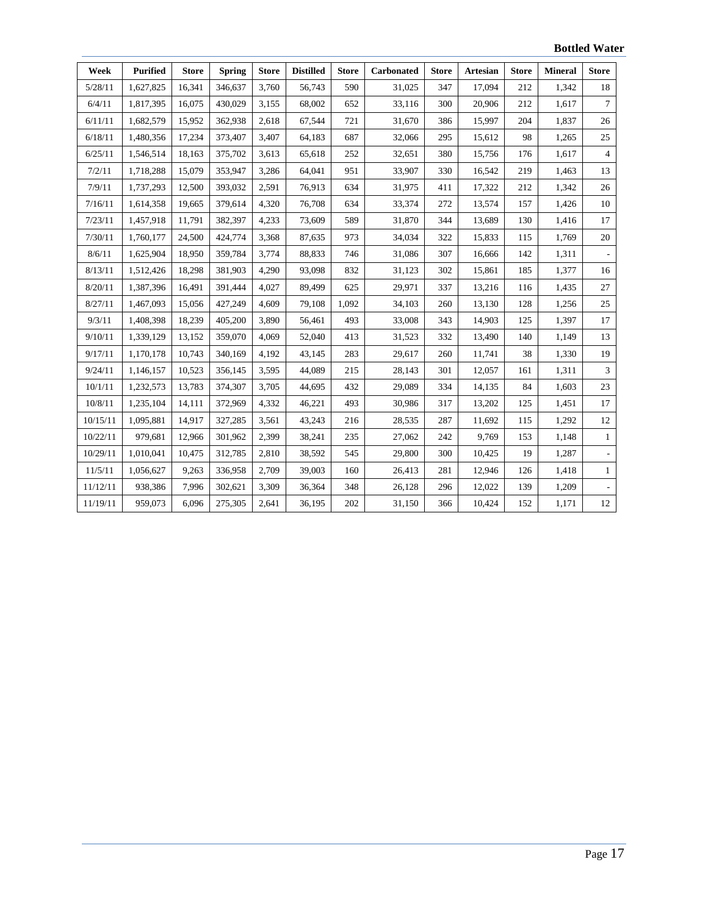| Week     | <b>Purified</b> | <b>Store</b> | <b>Spring</b> | <b>Store</b> | <b>Distilled</b> | <b>Store</b> | <b>Carbonated</b> | <b>Store</b> | <b>Artesian</b> | <b>Store</b> | <b>Mineral</b> | <b>Store</b>   |
|----------|-----------------|--------------|---------------|--------------|------------------|--------------|-------------------|--------------|-----------------|--------------|----------------|----------------|
| 5/28/11  | 1,627,825       | 16,341       | 346,637       | 3,760        | 56,743           | 590          | 31,025            | 347          | 17,094          | 212          | 1,342          | 18             |
| 6/4/11   | 1,817,395       | 16,075       | 430,029       | 3,155        | 68,002           | 652          | 33,116            | 300          | 20,906          | 212          | 1,617          | $\tau$         |
| 6/11/11  | 1,682,579       | 15,952       | 362,938       | 2,618        | 67,544           | 721          | 31,670            | 386          | 15,997          | 204          | 1,837          | 26             |
| 6/18/11  | 1,480,356       | 17,234       | 373,407       | 3,407        | 64,183           | 687          | 32,066            | 295          | 15,612          | 98           | 1,265          | 25             |
| 6/25/11  | 1,546,514       | 18,163       | 375,702       | 3,613        | 65,618           | 252          | 32,651            | 380          | 15,756          | 176          | 1,617          | $\overline{4}$ |
| 7/2/11   | 1,718,288       | 15,079       | 353,947       | 3,286        | 64,041           | 951          | 33,907            | 330          | 16,542          | 219          | 1,463          | 13             |
| 7/9/11   | 1,737,293       | 12,500       | 393,032       | 2,591        | 76,913           | 634          | 31,975            | 411          | 17,322          | 212          | 1,342          | 26             |
| 7/16/11  | 1,614,358       | 19,665       | 379,614       | 4,320        | 76,708           | 634          | 33,374            | 272          | 13,574          | 157          | 1,426          | 10             |
| 7/23/11  | 1,457,918       | 11,791       | 382,397       | 4,233        | 73,609           | 589          | 31,870            | 344          | 13,689          | 130          | 1,416          | 17             |
| 7/30/11  | 1,760,177       | 24,500       | 424,774       | 3,368        | 87,635           | 973          | 34,034            | 322          | 15,833          | 115          | 1,769          | $20\,$         |
| 8/6/11   | 1,625,904       | 18,950       | 359,784       | 3,774        | 88,833           | 746          | 31,086            | 307          | 16,666          | 142          | 1,311          |                |
| 8/13/11  | 1,512,426       | 18,298       | 381,903       | 4,290        | 93,098           | 832          | 31,123            | 302          | 15,861          | 185          | 1,377          | 16             |
| 8/20/11  | 1,387,396       | 16,491       | 391,444       | 4,027        | 89,499           | 625          | 29,971            | 337          | 13,216          | 116          | 1,435          | 27             |
| 8/27/11  | 1,467,093       | 15,056       | 427,249       | 4,609        | 79,108           | 1.092        | 34,103            | 260          | 13,130          | 128          | 1,256          | 25             |
| 9/3/11   | 1,408,398       | 18,239       | 405,200       | 3,890        | 56,461           | 493          | 33,008            | 343          | 14,903          | 125          | 1,397          | 17             |
| 9/10/11  | 1,339,129       | 13,152       | 359,070       | 4,069        | 52,040           | 413          | 31,523            | 332          | 13,490          | 140          | 1,149          | 13             |
| 9/17/11  | 1,170,178       | 10,743       | 340,169       | 4,192        | 43,145           | 283          | 29,617            | 260          | 11,741          | 38           | 1,330          | 19             |
| 9/24/11  | 1,146,157       | 10,523       | 356,145       | 3,595        | 44,089           | 215          | 28,143            | 301          | 12,057          | 161          | 1,311          | $\sqrt{3}$     |
| 10/1/11  | 1,232,573       | 13,783       | 374,307       | 3,705        | 44,695           | 432          | 29,089            | 334          | 14,135          | 84           | 1,603          | 23             |
| 10/8/11  | 1,235,104       | 14,111       | 372,969       | 4,332        | 46,221           | 493          | 30,986            | 317          | 13,202          | 125          | 1,451          | 17             |
| 10/15/11 | 1,095,881       | 14,917       | 327,285       | 3,561        | 43,243           | 216          | 28,535            | 287          | 11,692          | 115          | 1,292          | 12             |
| 10/22/11 | 979,681         | 12,966       | 301,962       | 2,399        | 38,241           | 235          | 27,062            | 242          | 9,769           | 153          | 1,148          | $\mathbf{1}$   |
| 10/29/11 | 1,010,041       | 10,475       | 312,785       | 2,810        | 38,592           | 545          | 29,800            | 300          | 10,425          | 19           | 1,287          |                |
| 11/5/11  | 1,056,627       | 9,263        | 336,958       | 2,709        | 39,003           | 160          | 26,413            | 281          | 12,946          | 126          | 1,418          | $\mathbf{1}$   |
| 11/12/11 | 938,386         | 7,996        | 302,621       | 3,309        | 36,364           | 348          | 26,128            | 296          | 12,022          | 139          | 1,209          |                |
| 11/19/11 | 959,073         | 6,096        | 275,305       | 2,641        | 36,195           | 202          | 31,150            | 366          | 10,424          | 152          | 1,171          | 12             |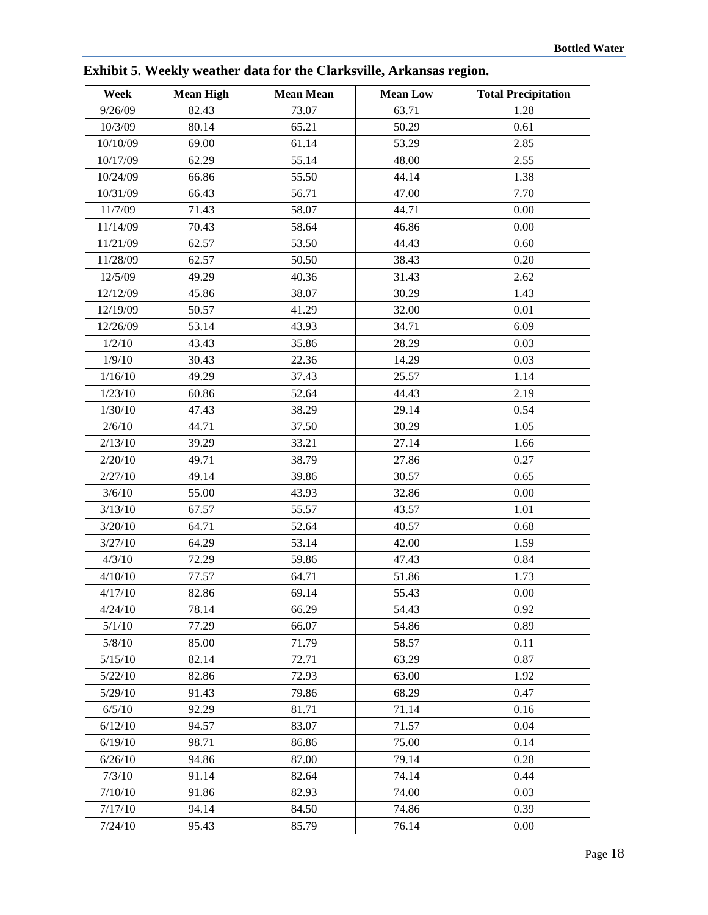| Week     | <b>Mean High</b> | <b>Mean Mean</b> | <b>Mean Low</b> | <b>Total Precipitation</b> |
|----------|------------------|------------------|-----------------|----------------------------|
| 9/26/09  | 82.43            | 73.07            | 63.71           | 1.28                       |
| 10/3/09  | 80.14            | 65.21            | 50.29           | 0.61                       |
| 10/10/09 | 69.00            | 61.14            | 53.29           | 2.85                       |
| 10/17/09 | 62.29            | 55.14            | 48.00           | 2.55                       |
| 10/24/09 | 66.86            | 55.50            | 44.14           | 1.38                       |
| 10/31/09 | 66.43            | 56.71            | 47.00           | 7.70                       |
| 11/7/09  | 71.43            | 58.07            | 44.71           | 0.00                       |
| 11/14/09 | 70.43            | 58.64            | 46.86           | 0.00                       |
| 11/21/09 | 62.57            | 53.50            | 44.43           | 0.60                       |
| 11/28/09 | 62.57            | 50.50            | 38.43           | 0.20                       |
| 12/5/09  | 49.29            | 40.36            | 31.43           | 2.62                       |
| 12/12/09 | 45.86            | 38.07            | 30.29           | 1.43                       |
| 12/19/09 | 50.57            | 41.29            | 32.00           | 0.01                       |
| 12/26/09 | 53.14            | 43.93            | 34.71           | 6.09                       |
| 1/2/10   | 43.43            | 35.86            | 28.29           | 0.03                       |
| 1/9/10   | 30.43            | 22.36            | 14.29           | 0.03                       |
| 1/16/10  | 49.29            | 37.43            | 25.57           | 1.14                       |
| 1/23/10  | 60.86            | 52.64            | 44.43           | 2.19                       |
| 1/30/10  | 47.43            | 38.29            | 29.14           | 0.54                       |
| 2/6/10   | 44.71            | 37.50            | 30.29           | 1.05                       |
| 2/13/10  | 39.29            | 33.21            | 27.14           | 1.66                       |
| 2/20/10  | 49.71            | 38.79            | 27.86           | 0.27                       |
| 2/27/10  | 49.14            | 39.86            | 30.57           | 0.65                       |
| 3/6/10   | 55.00            | 43.93            | 32.86           | 0.00                       |
| 3/13/10  | 67.57            | 55.57            | 43.57           | 1.01                       |
| 3/20/10  | 64.71            | 52.64            | 40.57           | 0.68                       |
| 3/27/10  | 64.29            | 53.14            | 42.00           | 1.59                       |
| 4/3/10   | 72.29            | 59.86            | 47.43           | 0.84                       |
| 4/10/10  | 77.57            | 64.71            | 51.86           | 1.73                       |
| 4/17/10  | 82.86            | 69.14            | 55.43           | 0.00                       |
| 4/24/10  | 78.14            | 66.29            | 54.43           | 0.92                       |
| 5/1/10   | 77.29            | 66.07            | 54.86           | 0.89                       |
| 5/8/10   | 85.00            | 71.79            | 58.57           | 0.11                       |
| 5/15/10  | 82.14            | 72.71            | 63.29           | 0.87                       |
| 5/22/10  | 82.86            | 72.93            | 63.00           | 1.92                       |
| 5/29/10  | 91.43            | 79.86            | 68.29           | 0.47                       |
| 6/5/10   | 92.29            | 81.71            | 71.14           | 0.16                       |
| 6/12/10  | 94.57            | 83.07            | 71.57           | 0.04                       |
| 6/19/10  | 98.71            | 86.86            | 75.00           | 0.14                       |
| 6/26/10  | 94.86            | 87.00            | 79.14           | 0.28                       |
| 7/3/10   | 91.14            | 82.64            | 74.14           | 0.44                       |
| 7/10/10  | 91.86            | 82.93            | 74.00           | 0.03                       |
| 7/17/10  | 94.14            | 84.50            | 74.86           | 0.39                       |
| 7/24/10  | 95.43            | 85.79            | 76.14           | 0.00                       |

**Exhibit 5. Weekly weather data for the Clarksville, Arkansas region.**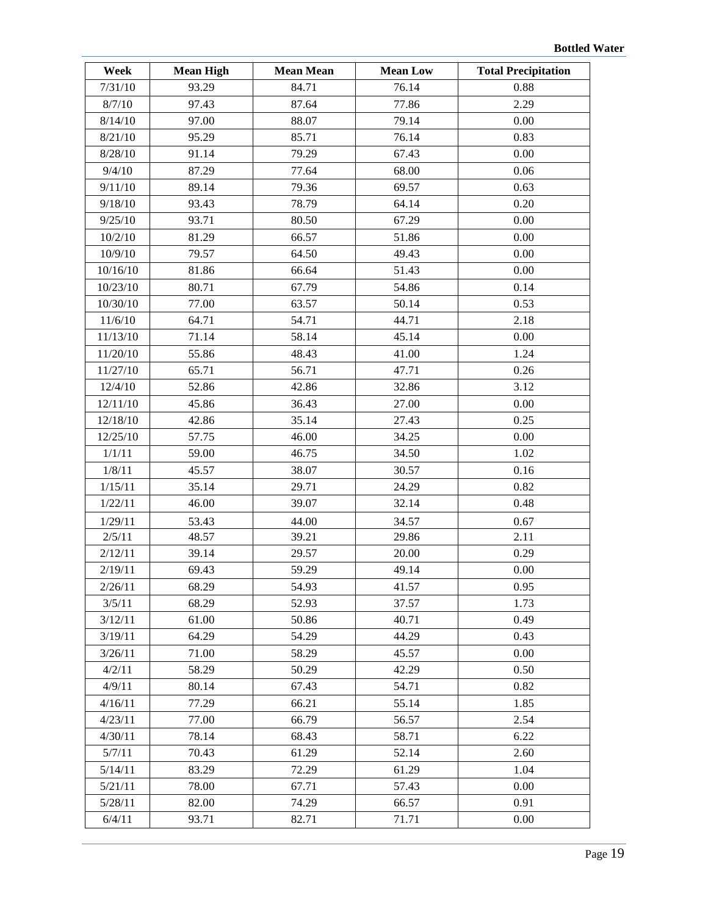| Week     | <b>Mean High</b> | <b>Mean Mean</b> | <b>Mean Low</b> | <b>Total Precipitation</b> |
|----------|------------------|------------------|-----------------|----------------------------|
| 7/31/10  | 93.29            | 84.71            | 76.14           | 0.88                       |
| 8/7/10   | 97.43            | 87.64            | 77.86           | 2.29                       |
| 8/14/10  | 97.00            | 88.07            | 79.14           | 0.00                       |
| 8/21/10  | 95.29            | 85.71            | 76.14           | 0.83                       |
| 8/28/10  | 91.14            | 79.29            | 67.43           | 0.00                       |
| 9/4/10   | 87.29            | 77.64            | 68.00           | 0.06                       |
| 9/11/10  | 89.14            | 79.36            | 69.57           | 0.63                       |
| 9/18/10  | 93.43            | 78.79            | 64.14           | 0.20                       |
| 9/25/10  | 93.71            | 80.50            | 67.29           | 0.00                       |
| 10/2/10  | 81.29            | 66.57            | 51.86           | 0.00                       |
| 10/9/10  | 79.57            | 64.50            | 49.43           | 0.00                       |
| 10/16/10 | 81.86            | 66.64            | 51.43           | 0.00                       |
| 10/23/10 | 80.71            | 67.79            | 54.86           | 0.14                       |
| 10/30/10 | 77.00            | 63.57            | 50.14           | 0.53                       |
| 11/6/10  | 64.71            | 54.71            | 44.71           | 2.18                       |
| 11/13/10 | 71.14            | 58.14            | 45.14           | 0.00                       |
| 11/20/10 | 55.86            | 48.43            | 41.00           | 1.24                       |
| 11/27/10 | 65.71            | 56.71            | 47.71           | 0.26                       |
| 12/4/10  | 52.86            | 42.86            | 32.86           | 3.12                       |
| 12/11/10 | 45.86            | 36.43            | 27.00           | 0.00                       |
| 12/18/10 | 42.86            | 35.14            | 27.43           | 0.25                       |
| 12/25/10 | 57.75            | 46.00            | 34.25           | 0.00                       |
| 1/1/11   | 59.00            | 46.75            | 34.50           | 1.02                       |
| 1/8/11   | 45.57            | 38.07            | 30.57           | 0.16                       |
| 1/15/11  | 35.14            | 29.71            | 24.29           | 0.82                       |
| 1/22/11  | 46.00            | 39.07            | 32.14           | 0.48                       |
| 1/29/11  | 53.43            | 44.00            | 34.57           | 0.67                       |
| 2/5/11   | 48.57            | 39.21            | 29.86           | 2.11                       |
| 2/12/11  | 39.14            | 29.57            | 20.00           | 0.29                       |
| 2/19/11  | 69.43            | 59.29            | 49.14           | 0.00                       |
| 2/26/11  | 68.29            | 54.93            | 41.57           | 0.95                       |
| 3/5/11   | 68.29            | 52.93            | 37.57           | 1.73                       |
| 3/12/11  | 61.00            | 50.86            | 40.71           | 0.49                       |
| 3/19/11  | 64.29            | 54.29            | 44.29           | 0.43                       |
| 3/26/11  | 71.00            | 58.29            | 45.57           | 0.00                       |
| 4/2/11   | 58.29            | 50.29            | 42.29           | 0.50                       |
| 4/9/11   | 80.14            | 67.43            | 54.71           | 0.82                       |
| 4/16/11  | 77.29            | 66.21            | 55.14           | 1.85                       |
| 4/23/11  | 77.00            | 66.79            | 56.57           | 2.54                       |
| 4/30/11  | 78.14            | 68.43            | 58.71           | 6.22                       |
| 5/7/11   | 70.43            | 61.29            | 52.14           | 2.60                       |
| 5/14/11  | 83.29            | 72.29            | 61.29           | 1.04                       |
| 5/21/11  | 78.00            | 67.71            | 57.43           | 0.00                       |
| 5/28/11  | 82.00            | 74.29            | 66.57           | 0.91                       |
| 6/4/11   | 93.71            | 82.71            | 71.71           | 0.00                       |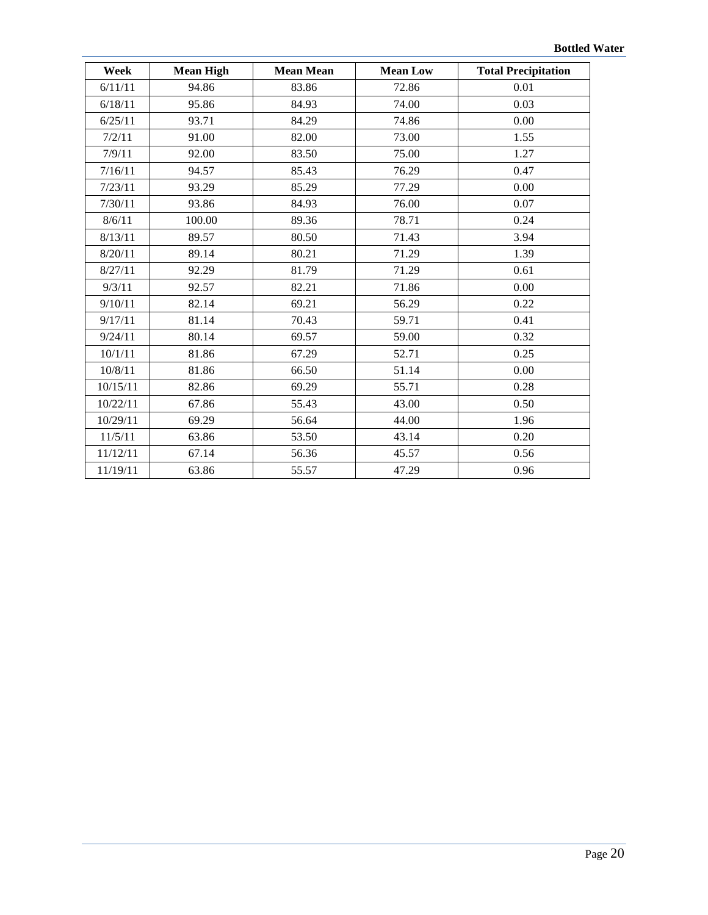| Week     | <b>Mean High</b> | <b>Mean Mean</b> | <b>Mean Low</b> | <b>Total Precipitation</b> |
|----------|------------------|------------------|-----------------|----------------------------|
| 6/11/11  | 94.86            | 83.86            | 72.86           | 0.01                       |
| 6/18/11  | 95.86            | 84.93            | 74.00           | 0.03                       |
| 6/25/11  | 93.71            | 84.29            | 74.86           | 0.00                       |
| 7/2/11   | 91.00            | 82.00            | 73.00           | 1.55                       |
| 7/9/11   | 92.00            | 83.50            | 75.00           | 1.27                       |
| 7/16/11  | 94.57            | 85.43            | 76.29           | 0.47                       |
| 7/23/11  | 93.29            | 85.29            | 77.29           | 0.00                       |
| 7/30/11  | 93.86            | 84.93            | 76.00           | 0.07                       |
| 8/6/11   | 100.00           | 89.36            | 78.71           | 0.24                       |
| 8/13/11  | 89.57            | 80.50            | 71.43           | 3.94                       |
| 8/20/11  | 89.14            | 80.21            | 71.29           | 1.39                       |
| 8/27/11  | 92.29            | 81.79            | 71.29           | 0.61                       |
| 9/3/11   | 92.57            | 82.21            | 71.86           | 0.00                       |
| 9/10/11  | 82.14            | 69.21            | 56.29           | 0.22                       |
| 9/17/11  | 81.14            | 70.43            | 59.71           | 0.41                       |
| 9/24/11  | 80.14            | 69.57            | 59.00           | 0.32                       |
| 10/1/11  | 81.86            | 67.29            | 52.71           | 0.25                       |
| 10/8/11  | 81.86            | 66.50            | 51.14           | 0.00                       |
| 10/15/11 | 82.86            | 69.29            | 55.71           | 0.28                       |
| 10/22/11 | 67.86            | 55.43            | 43.00           | 0.50                       |
| 10/29/11 | 69.29            | 56.64            | 44.00           | 1.96                       |
| 11/5/11  | 63.86            | 53.50            | 43.14           | 0.20                       |
| 11/12/11 | 67.14            | 56.36            | 45.57           | 0.56                       |
| 11/19/11 | 63.86            | 55.57            | 47.29           | 0.96                       |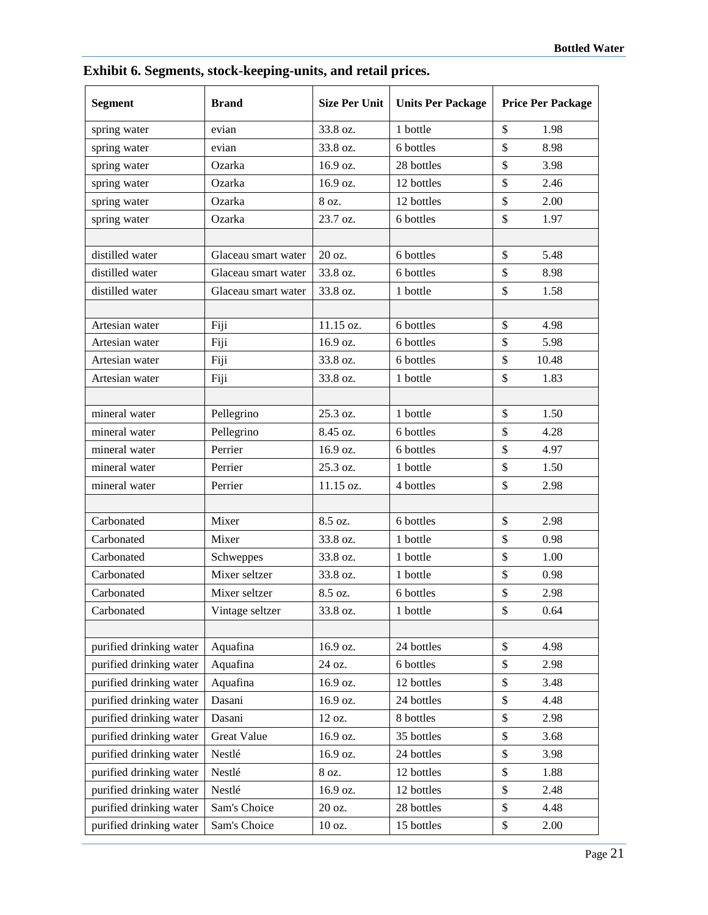| <b>Segment</b>          | <b>Brand</b>        | <b>Size Per Unit</b> | <b>Units Per Package</b> | <b>Price Per Package</b> |
|-------------------------|---------------------|----------------------|--------------------------|--------------------------|
| spring water            | evian               | 33.8 oz.             | 1 bottle                 | \$<br>1.98               |
| spring water            | evian               | 33.8 oz.             | 6 bottles                | \$<br>8.98               |
| spring water            | Ozarka              | 16.9 oz.             | 28 bottles               | \$<br>3.98               |
| spring water            | Ozarka              | 16.9 oz.             | 12 bottles               | \$<br>2.46               |
| spring water            | Ozarka              | 8 oz.                | 12 bottles               | \$<br>2.00               |
| spring water            | Ozarka              | 23.7 oz.             | 6 bottles                | \$<br>1.97               |
|                         |                     |                      |                          |                          |
| distilled water         | Glaceau smart water | 20 oz.               | 6 bottles                | \$<br>5.48               |
| distilled water         | Glaceau smart water | 33.8 oz.             | 6 bottles                | \$<br>8.98               |
| distilled water         | Glaceau smart water | 33.8 oz.             | 1 bottle                 | 1.58<br>\$               |
|                         |                     |                      |                          |                          |
| Artesian water          | Fiji                | 11.15 oz.            | 6 bottles                | 4.98<br>\$               |
| Artesian water          | Fiji                | 16.9 oz.             | 6 bottles                | \$<br>5.98               |
| Artesian water          | Fiji                | 33.8 oz.             | 6 bottles                | 10.48<br>\$              |
| Artesian water          | Fiji                | 33.8 oz.             | 1 bottle                 | \$<br>1.83               |
|                         |                     |                      |                          |                          |
| mineral water           | Pellegrino          | 25.3 oz.             | 1 bottle                 | 1.50<br>\$               |
| mineral water           | Pellegrino          | 8.45 oz.             | 6 bottles                | \$<br>4.28               |
| mineral water           | Perrier             | 16.9 oz.             | 6 bottles                | \$<br>4.97               |
| mineral water           | Perrier             | 25.3 oz.             | 1 bottle                 | \$<br>1.50               |
| mineral water           | Perrier             | 11.15 oz.            | 4 bottles                | $\mathcal{S}$<br>2.98    |
|                         |                     |                      |                          |                          |
| Carbonated              | Mixer               | 8.5 oz.              | 6 bottles                | \$<br>2.98               |
| Carbonated              | Mixer               | 33.8 oz.             | 1 bottle                 | \$<br>0.98               |
| Carbonated              | Schweppes           | 33.8 oz.             | 1 bottle                 | \$<br>1.00               |
| Carbonated              | Mixer seltzer       | 33.8 oz.             | 1 bottle                 | 0.98<br>\$               |
| Carbonated              | Mixer seltzer       | 8.5 oz.              | 6 bottles                | \$<br>2.98               |
| Carbonated              | Vintage seltzer     | 33.8 oz.             | 1 bottle                 | \$<br>0.64               |
|                         |                     |                      |                          |                          |
| purified drinking water | Aquafina            | 16.9 oz.             | 24 bottles               | \$<br>4.98               |
| purified drinking water | Aquafina            | 24 oz.               | 6 bottles                | \$<br>2.98               |
| purified drinking water | Aquafina            | 16.9 oz.             | 12 bottles               | \$<br>3.48               |
| purified drinking water | Dasani              | 16.9 oz.             | 24 bottles               | \$<br>4.48               |
| purified drinking water | Dasani              | 12 oz.               | 8 bottles                | \$<br>2.98               |
| purified drinking water | <b>Great Value</b>  | 16.9 oz.             | 35 bottles               | \$<br>3.68               |
| purified drinking water | Nestlé              | 16.9 oz.             | 24 bottles               | \$<br>3.98               |
| purified drinking water | Nestlé              | 8 oz.                | 12 bottles               | \$<br>1.88               |
| purified drinking water | Nestlé              | 16.9 oz.             | 12 bottles               | 2.48<br>\$               |
| purified drinking water | Sam's Choice        | 20 oz.               | 28 bottles               | \$<br>4.48               |
| purified drinking water | Sam's Choice        | 10 oz.               | 15 bottles               | \$<br>2.00               |

**Exhibit 6. Segments, stock-keeping-units, and retail prices.**